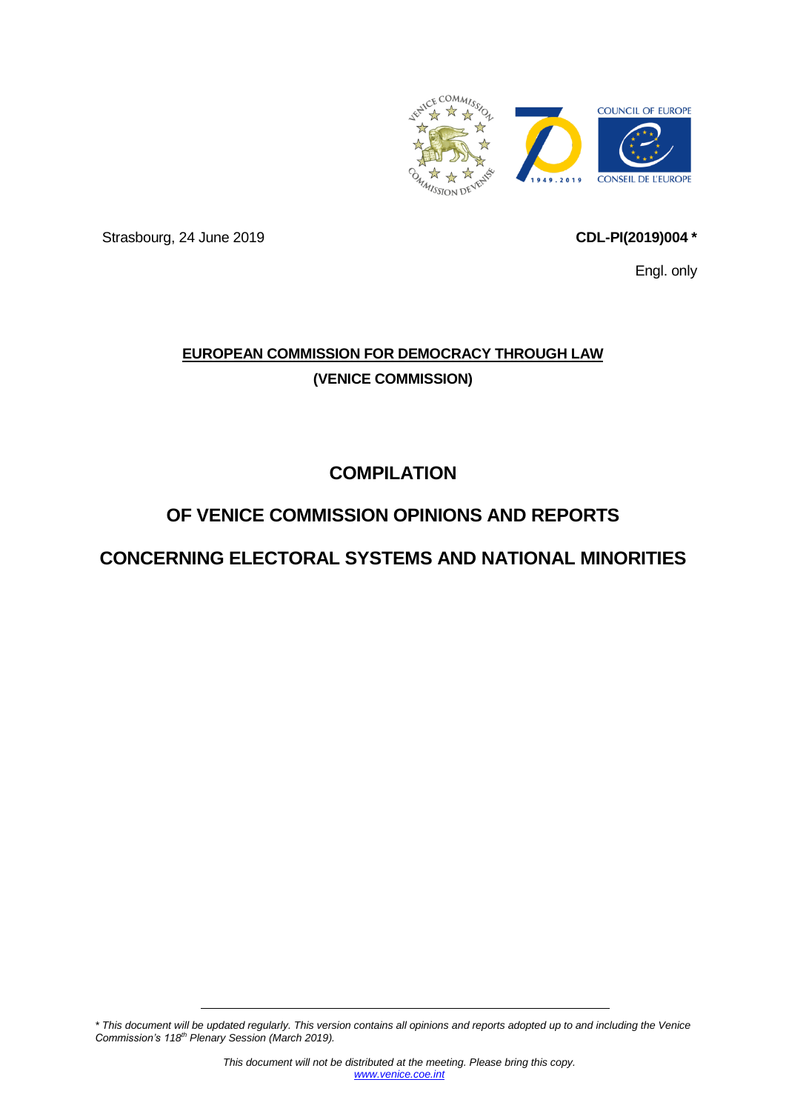

Strasbourg, 24 June 2019 **CDL-PI(2019)004 \*** 

<span id="page-0-0"></span>

Engl. only

# **EUROPEAN COMMISSION FOR DEMOCRACY THROUGH LAW (VENICE COMMISSION)**

**COMPILATION**

# **OF VENICE COMMISSION OPINIONS AND REPORTS**

# **CONCERNING ELECTORAL SYSTEMS AND NATIONAL MINORITIES**

*\* This document will be updated regularly. This version contains all opinions and reports adopted up to and including the Venice Commission's 118th Plenary Session (March 2019).*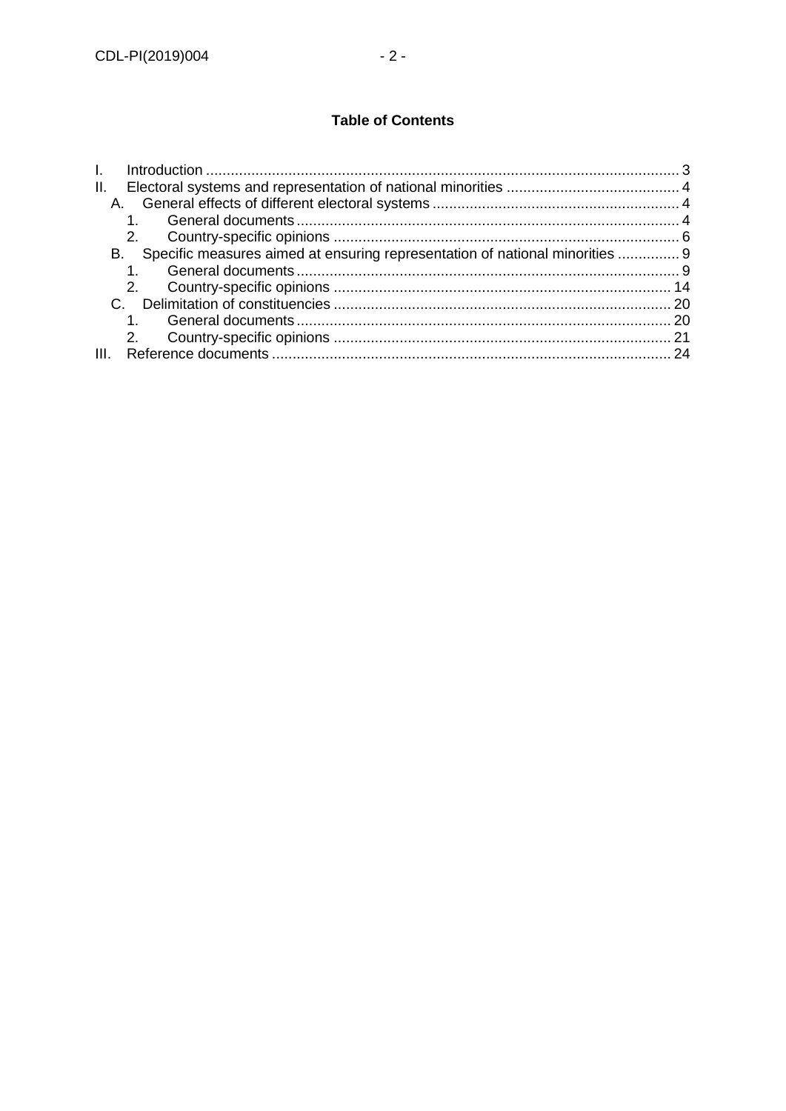## **Table of Contents**

| Ш.                                                                                 |    |
|------------------------------------------------------------------------------------|----|
|                                                                                    |    |
|                                                                                    |    |
|                                                                                    |    |
| Specific measures aimed at ensuring representation of national minorities  9<br>В. |    |
|                                                                                    |    |
|                                                                                    |    |
|                                                                                    |    |
|                                                                                    |    |
|                                                                                    |    |
|                                                                                    | 24 |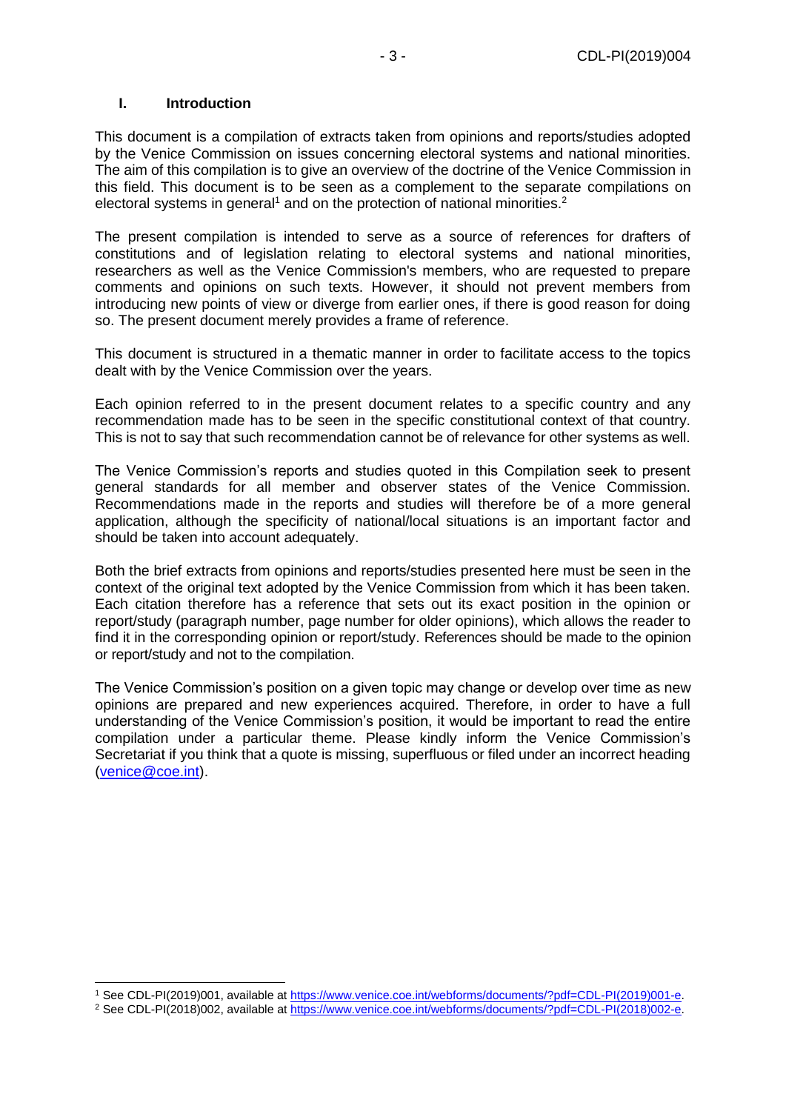#### <span id="page-2-0"></span>**I. Introduction**

-

This document is a compilation of extracts taken from opinions and reports/studies adopted by the Venice Commission on issues concerning electoral systems and national minorities. The aim of this compilation is to give an overview of the doctrine of the Venice Commission in this field. This document is to be seen as a complement to the separate compilations on electoral systems in general<sup>1</sup> and on the protection of national minorities.<sup>2</sup>

The present compilation is intended to serve as a source of references for drafters of constitutions and of legislation relating to electoral systems and national minorities, researchers as well as the Venice Commission's members, who are requested to prepare comments and opinions on such texts. However, it should not prevent members from introducing new points of view or diverge from earlier ones, if there is good reason for doing so. The present document merely provides a frame of reference.

This document is structured in a thematic manner in order to facilitate access to the topics dealt with by the Venice Commission over the years.

Each opinion referred to in the present document relates to a specific country and any recommendation made has to be seen in the specific constitutional context of that country. This is not to say that such recommendation cannot be of relevance for other systems as well.

The Venice Commission's reports and studies quoted in this Compilation seek to present general standards for all member and observer states of the Venice Commission. Recommendations made in the reports and studies will therefore be of a more general application, although the specificity of national/local situations is an important factor and should be taken into account adequately.

Both the brief extracts from opinions and reports/studies presented here must be seen in the context of the original text adopted by the Venice Commission from which it has been taken. Each citation therefore has a reference that sets out its exact position in the opinion or report/study (paragraph number, page number for older opinions), which allows the reader to find it in the corresponding opinion or report/study. References should be made to the opinion or report/study and not to the compilation.

The Venice Commission's position on a given topic may change or develop over time as new opinions are prepared and new experiences acquired. Therefore, in order to have a full understanding of the Venice Commission's position, it would be important to read the entire compilation under a particular theme. Please kindly inform the Venice Commission's Secretariat if you think that a quote is missing, superfluous or filed under an incorrect heading [\(venice@coe.int\)](mailto:venice@coe.int).

<sup>1</sup> See CDL-PI(2019)001, available at [https://www.venice.coe.int/webforms/documents/?pdf=CDL-PI\(2019\)001-e.](https://www.venice.coe.int/webforms/documents/?pdf=CDL-PI(2019)001-e)

<sup>&</sup>lt;sup>2</sup> See CDL-PI(2018)002, available at [https://www.venice.coe.int/webforms/documents/?pdf=CDL-PI\(2018\)002-e.](https://www.venice.coe.int/webforms/documents/?pdf=CDL-PI(2018)002-e)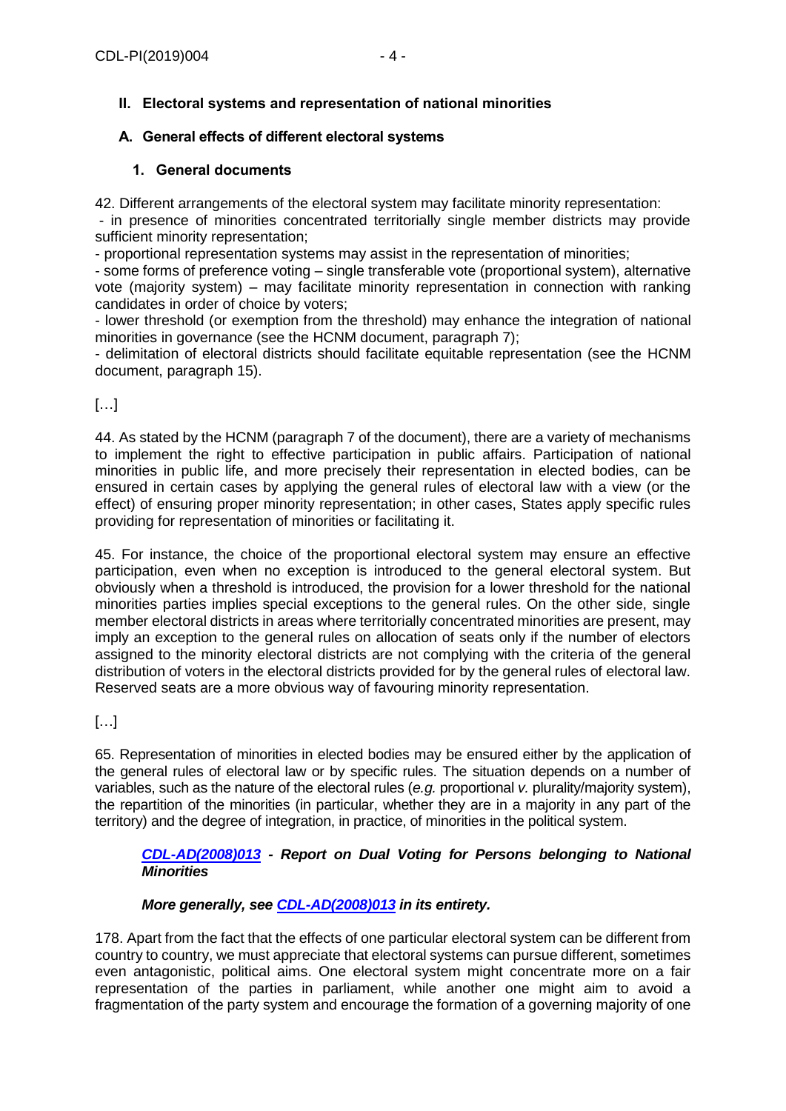## <span id="page-3-0"></span>**II. Electoral systems and representation of national minorities**

## <span id="page-3-1"></span>**A. General effects of different electoral systems**

#### **1. General documents**

<span id="page-3-2"></span>42. Different arrangements of the electoral system may facilitate minority representation:

- in presence of minorities concentrated territorially single member districts may provide sufficient minority representation;

- proportional representation systems may assist in the representation of minorities;

- some forms of preference voting – single transferable vote (proportional system), alternative vote (majority system) – may facilitate minority representation in connection with ranking candidates in order of choice by voters;

- lower threshold (or exemption from the threshold) may enhance the integration of national minorities in governance (see the HCNM document, paragraph 7);

- delimitation of electoral districts should facilitate equitable representation (see the HCNM document, paragraph 15).

## […]

44. As stated by the HCNM (paragraph 7 of the document), there are a variety of mechanisms to implement the right to effective participation in public affairs. Participation of national minorities in public life, and more precisely their representation in elected bodies, can be ensured in certain cases by applying the general rules of electoral law with a view (or the effect) of ensuring proper minority representation; in other cases, States apply specific rules providing for representation of minorities or facilitating it.

45. For instance, the choice of the proportional electoral system may ensure an effective participation, even when no exception is introduced to the general electoral system. But obviously when a threshold is introduced, the provision for a lower threshold for the national minorities parties implies special exceptions to the general rules. On the other side, single member electoral districts in areas where territorially concentrated minorities are present, may imply an exception to the general rules on allocation of seats only if the number of electors assigned to the minority electoral districts are not complying with the criteria of the general distribution of voters in the electoral districts provided for by the general rules of electoral law. Reserved seats are a more obvious way of favouring minority representation.

# $[\ldots]$

65. Representation of minorities in elected bodies may be ensured either by the application of the general rules of electoral law or by specific rules. The situation depends on a number of variables, such as the nature of the electoral rules (*e.g.* proportional *v.* plurality/majority system), the repartition of the minorities (in particular, whether they are in a majority in any part of the territory) and the degree of integration, in practice, of minorities in the political system.

#### *[CDL-AD\(2008\)013](https://www.venice.coe.int/webforms/documents/?pdf=CDL-AD(2008)013-e) - Report on Dual Voting for Persons belonging to National Minorities*

## *More generally, see [CDL-AD\(2008\)013](https://www.venice.coe.int/webforms/documents/?pdf=CDL-AD(2008)013-e) in its entirety.*

178. Apart from the fact that the effects of one particular electoral system can be different from country to country, we must appreciate that electoral systems can pursue different, sometimes even antagonistic, political aims. One electoral system might concentrate more on a fair representation of the parties in parliament, while another one might aim to avoid a fragmentation of the party system and encourage the formation of a governing majority of one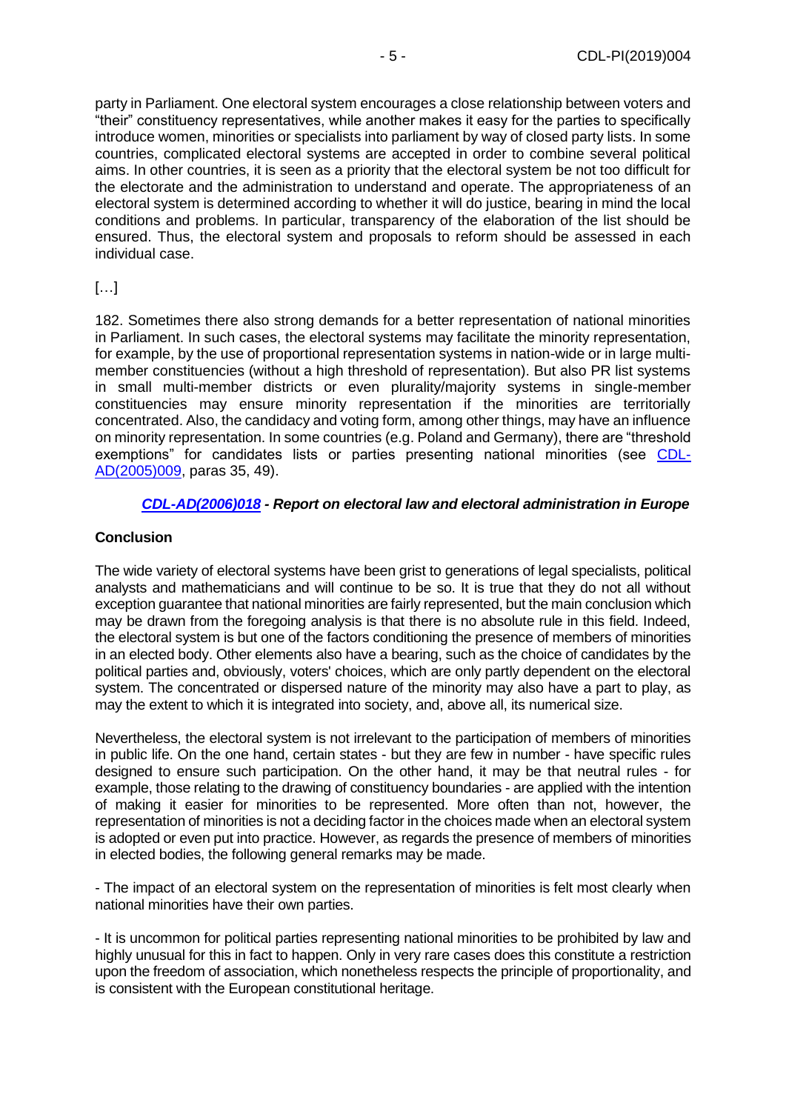party in Parliament. One electoral system encourages a close relationship between voters and "their" constituency representatives, while another makes it easy for the parties to specifically introduce women, minorities or specialists into parliament by way of closed party lists. In some countries, complicated electoral systems are accepted in order to combine several political aims. In other countries, it is seen as a priority that the electoral system be not too difficult for the electorate and the administration to understand and operate. The appropriateness of an electoral system is determined according to whether it will do justice, bearing in mind the local conditions and problems. In particular, transparency of the elaboration of the list should be ensured. Thus, the electoral system and proposals to reform should be assessed in each individual case.

# […]

182. Sometimes there also strong demands for a better representation of national minorities in Parliament. In such cases, the electoral systems may facilitate the minority representation, for example, by the use of proportional representation systems in nation-wide or in large multimember constituencies (without a high threshold of representation). But also PR list systems in small multi-member districts or even plurality/majority systems in single-member constituencies may ensure minority representation if the minorities are territorially concentrated. Also, the candidacy and voting form, among other things, may have an influence on minority representation. In some countries (e.g. Poland and Germany), there are "threshold exemptions" for candidates lists or parties presenting national minorities (see [CDL-](https://www.venice.coe.int/webforms/documents/?pdf=CDL-AD(2005)009-e)[AD\(2005\)009,](https://www.venice.coe.int/webforms/documents/?pdf=CDL-AD(2005)009-e) paras 35, 49).

## *[CDL-AD\(2006\)018](https://www.venice.coe.int/webforms/documents/?pdf=CDL-AD(2006)018-e) - Report on electoral law and electoral administration in Europe*

## **Conclusion**

The wide variety of electoral systems have been grist to generations of legal specialists, political analysts and mathematicians and will continue to be so. It is true that they do not all without exception guarantee that national minorities are fairly represented, but the main conclusion which may be drawn from the foregoing analysis is that there is no absolute rule in this field. Indeed, the electoral system is but one of the factors conditioning the presence of members of minorities in an elected body. Other elements also have a bearing, such as the choice of candidates by the political parties and, obviously, voters' choices, which are only partly dependent on the electoral system. The concentrated or dispersed nature of the minority may also have a part to play, as may the extent to which it is integrated into society, and, above all, its numerical size.

Nevertheless, the electoral system is not irrelevant to the participation of members of minorities in public life. On the one hand, certain states - but they are few in number - have specific rules designed to ensure such participation. On the other hand, it may be that neutral rules - for example, those relating to the drawing of constituency boundaries - are applied with the intention of making it easier for minorities to be represented. More often than not, however, the representation of minorities is not a deciding factor in the choices made when an electoral system is adopted or even put into practice. However, as regards the presence of members of minorities in elected bodies, the following general remarks may be made.

- The impact of an electoral system on the representation of minorities is felt most clearly when national minorities have their own parties.

- It is uncommon for political parties representing national minorities to be prohibited by law and highly unusual for this in fact to happen. Only in very rare cases does this constitute a restriction upon the freedom of association, which nonetheless respects the principle of proportionality, and is consistent with the European constitutional heritage.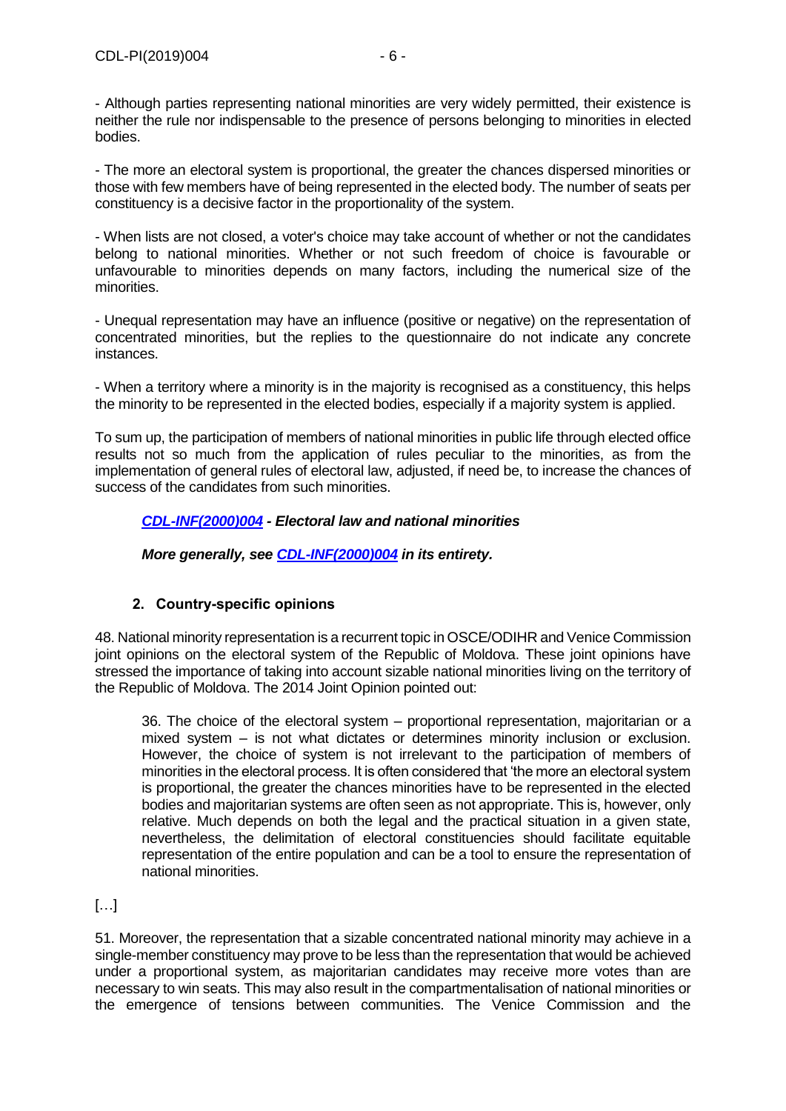- Although parties representing national minorities are very widely permitted, their existence is neither the rule nor indispensable to the presence of persons belonging to minorities in elected bodies.

- The more an electoral system is proportional, the greater the chances dispersed minorities or those with few members have of being represented in the elected body. The number of seats per constituency is a decisive factor in the proportionality of the system.

- When lists are not closed, a voter's choice may take account of whether or not the candidates belong to national minorities. Whether or not such freedom of choice is favourable or unfavourable to minorities depends on many factors, including the numerical size of the minorities.

- Unequal representation may have an influence (positive or negative) on the representation of concentrated minorities, but the replies to the questionnaire do not indicate any concrete instances.

- When a territory where a minority is in the majority is recognised as a constituency, this helps the minority to be represented in the elected bodies, especially if a majority system is applied.

To sum up, the participation of members of national minorities in public life through elected office results not so much from the application of rules peculiar to the minorities, as from the implementation of general rules of electoral law, adjusted, if need be, to increase the chances of success of the candidates from such minorities.

## *[CDL-INF\(2000\)004](https://www.venice.coe.int/webforms/documents/?pdf=CDL-INF(2000)004-e) - Electoral law and national minorities*

*More generally, see [CDL-INF\(2000\)004](https://www.venice.coe.int/webforms/documents/?pdf=CDL-INF(2000)004-e) in its entirety.*

# **2. Country-specific opinions**

<span id="page-5-0"></span>48. National minority representation is a recurrent topic in OSCE/ODIHR and Venice Commission joint opinions on the electoral system of the Republic of Moldova. These joint opinions have stressed the importance of taking into account sizable national minorities living on the territory of the Republic of Moldova. The 2014 Joint Opinion pointed out:

36. The choice of the electoral system – proportional representation, majoritarian or a mixed system – is not what dictates or determines minority inclusion or exclusion. However, the choice of system is not irrelevant to the participation of members of minorities in the electoral process. It is often considered that 'the more an electoral system is proportional, the greater the chances minorities have to be represented in the elected bodies and majoritarian systems are often seen as not appropriate. This is, however, only relative. Much depends on both the legal and the practical situation in a given state, nevertheless, the delimitation of electoral constituencies should facilitate equitable representation of the entire population and can be a tool to ensure the representation of national minorities.

# […]

51. Moreover, the representation that a sizable concentrated national minority may achieve in a single-member constituency may prove to be less than the representation that would be achieved under a proportional system, as majoritarian candidates may receive more votes than are necessary to win seats. This may also result in the compartmentalisation of national minorities or the emergence of tensions between communities. The Venice Commission and the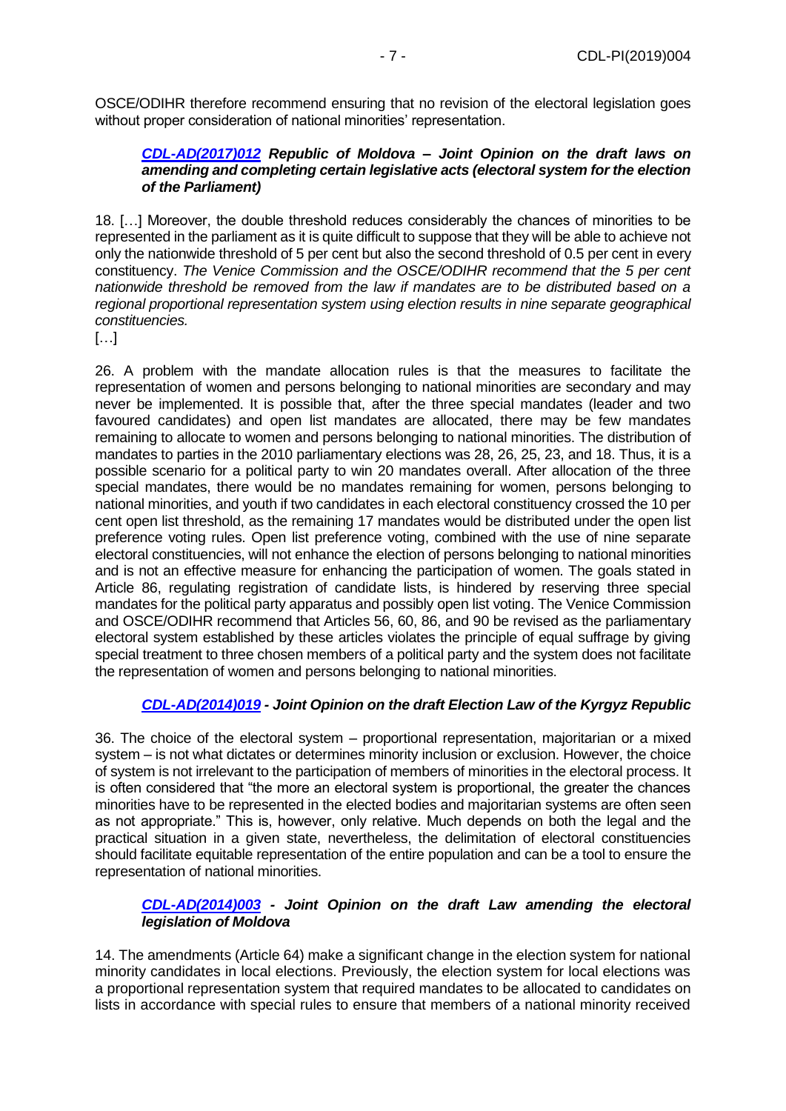OSCE/ODIHR therefore recommend ensuring that no revision of the electoral legislation goes without proper consideration of national minorities' representation.

#### *[CDL-AD\(2017\)012](https://www.venice.coe.int/webforms/documents/?pdf=CDL-AD(2017)012-e) Republic of Moldova – Joint Opinion on the draft laws on amending and completing certain legislative acts (electoral system for the election of the Parliament)*

18. […] Moreover, the double threshold reduces considerably the chances of minorities to be represented in the parliament as it is quite difficult to suppose that they will be able to achieve not only the nationwide threshold of 5 per cent but also the second threshold of 0.5 per cent in every constituency. *The Venice Commission and the OSCE/ODIHR recommend that the 5 per cent nationwide threshold be removed from the law if mandates are to be distributed based on a regional proportional representation system using election results in nine separate geographical constituencies.*

[…]

26. A problem with the mandate allocation rules is that the measures to facilitate the representation of women and persons belonging to national minorities are secondary and may never be implemented. It is possible that, after the three special mandates (leader and two favoured candidates) and open list mandates are allocated, there may be few mandates remaining to allocate to women and persons belonging to national minorities. The distribution of mandates to parties in the 2010 parliamentary elections was 28, 26, 25, 23, and 18. Thus, it is a possible scenario for a political party to win 20 mandates overall. After allocation of the three special mandates, there would be no mandates remaining for women, persons belonging to national minorities, and youth if two candidates in each electoral constituency crossed the 10 per cent open list threshold, as the remaining 17 mandates would be distributed under the open list preference voting rules. Open list preference voting, combined with the use of nine separate electoral constituencies, will not enhance the election of persons belonging to national minorities and is not an effective measure for enhancing the participation of women. The goals stated in Article 86, regulating registration of candidate lists, is hindered by reserving three special mandates for the political party apparatus and possibly open list voting. The Venice Commission and OSCE/ODIHR recommend that Articles 56, 60, 86, and 90 be revised as the parliamentary electoral system established by these articles violates the principle of equal suffrage by giving special treatment to three chosen members of a political party and the system does not facilitate the representation of women and persons belonging to national minorities.

# *[CDL-AD\(2014\)019](https://www.venice.coe.int/webforms/documents/?pdf=CDL-AD(2014)019-e) - Joint Opinion on the draft Election Law of the Kyrgyz Republic*

36. The choice of the electoral system – proportional representation, majoritarian or a mixed system – is not what dictates or determines minority inclusion or exclusion. However, the choice of system is not irrelevant to the participation of members of minorities in the electoral process. It is often considered that "the more an electoral system is proportional, the greater the chances minorities have to be represented in the elected bodies and majoritarian systems are often seen as not appropriate." This is, however, only relative. Much depends on both the legal and the practical situation in a given state, nevertheless, the delimitation of electoral constituencies should facilitate equitable representation of the entire population and can be a tool to ensure the representation of national minorities.

## *[CDL-AD\(2014\)003](https://www.venice.coe.int/webforms/documents/?pdf=CDL-AD(2014)003-e) - Joint Opinion on the draft Law amending the electoral legislation of Moldova*

14. The amendments (Article 64) make a significant change in the election system for national minority candidates in local elections. Previously, the election system for local elections was a proportional representation system that required mandates to be allocated to candidates on lists in accordance with special rules to ensure that members of a national minority received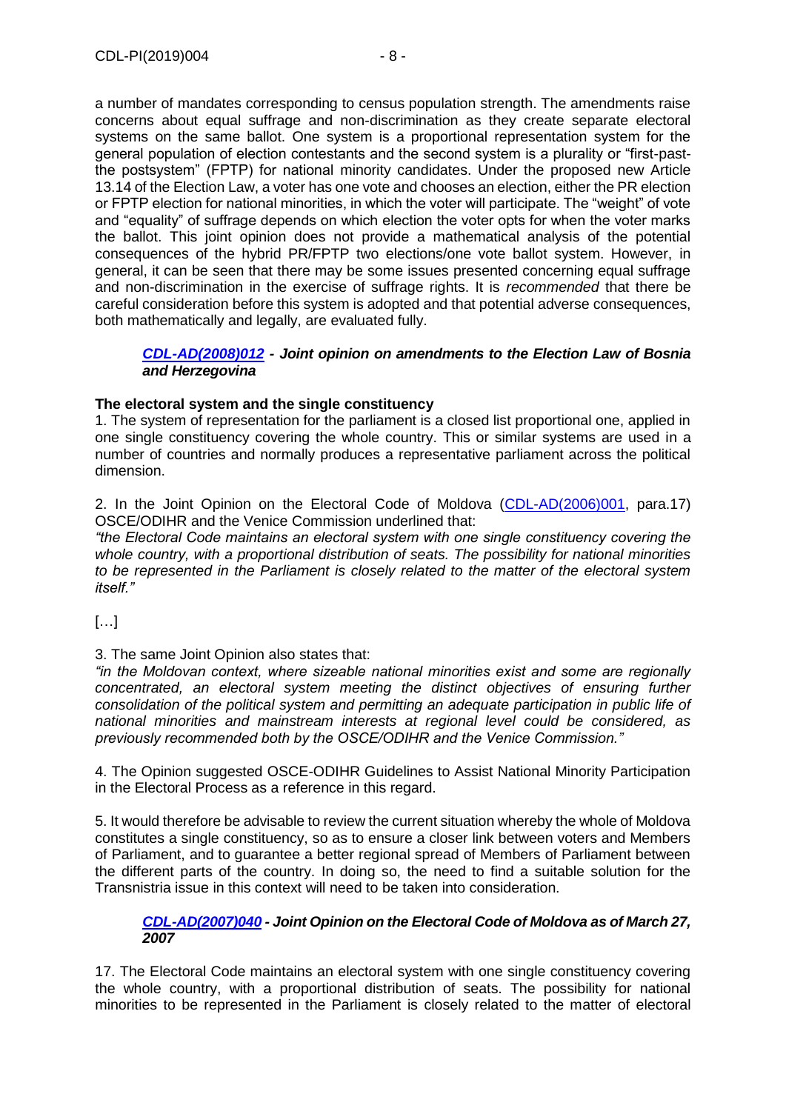a number of mandates corresponding to census population strength. The amendments raise concerns about equal suffrage and non-discrimination as they create separate electoral systems on the same ballot. One system is a proportional representation system for the general population of election contestants and the second system is a plurality or "first-pastthe postsystem" (FPTP) for national minority candidates. Under the proposed new Article 13.14 of the Election Law, a voter has one vote and chooses an election, either the PR election or FPTP election for national minorities, in which the voter will participate. The "weight" of vote and "equality" of suffrage depends on which election the voter opts for when the voter marks the ballot. This joint opinion does not provide a mathematical analysis of the potential consequences of the hybrid PR/FPTP two elections/one vote ballot system. However, in general, it can be seen that there may be some issues presented concerning equal suffrage and non-discrimination in the exercise of suffrage rights. It is *recommended* that there be careful consideration before this system is adopted and that potential adverse consequences, both mathematically and legally, are evaluated fully.

## *[CDL-AD\(2008\)012](https://www.venice.coe.int/webforms/documents/?pdf=CDL-AD(2008)012-e) - Joint opinion on amendments to the Election Law of Bosnia and Herzegovina*

## **The electoral system and the single constituency**

1. The system of representation for the parliament is a closed list proportional one, applied in one single constituency covering the whole country. This or similar systems are used in a number of countries and normally produces a representative parliament across the political dimension.

2. In the Joint Opinion on the Electoral Code of Moldova [\(CDL-AD\(2006\)001,](https://www.venice.coe.int/webforms/documents/?pdf=CDL-AD(2006)001-e) para.17) OSCE/ODIHR and the Venice Commission underlined that:

*"the Electoral Code maintains an electoral system with one single constituency covering the whole country, with a proportional distribution of seats. The possibility for national minorities to be represented in the Parliament is closely related to the matter of the electoral system itself."*

[…]

3. The same Joint Opinion also states that:

*"in the Moldovan context, where sizeable national minorities exist and some are regionally concentrated, an electoral system meeting the distinct objectives of ensuring further consolidation of the political system and permitting an adequate participation in public life of national minorities and mainstream interests at regional level could be considered, as previously recommended both by the OSCE/ODIHR and the Venice Commission."*

4. The Opinion suggested OSCE-ODIHR Guidelines to Assist National Minority Participation in the Electoral Process as a reference in this regard.

5. It would therefore be advisable to review the current situation whereby the whole of Moldova constitutes a single constituency, so as to ensure a closer link between voters and Members of Parliament, and to guarantee a better regional spread of Members of Parliament between the different parts of the country. In doing so, the need to find a suitable solution for the Transnistria issue in this context will need to be taken into consideration.

#### *[CDL-AD\(2007\)040](https://www.venice.coe.int/webforms/documents/?pdf=CDL-AD(2007)040-e) - Joint Opinion on the Electoral Code of Moldova as of March 27, 2007*

17. The Electoral Code maintains an electoral system with one single constituency covering the whole country, with a proportional distribution of seats. The possibility for national minorities to be represented in the Parliament is closely related to the matter of electoral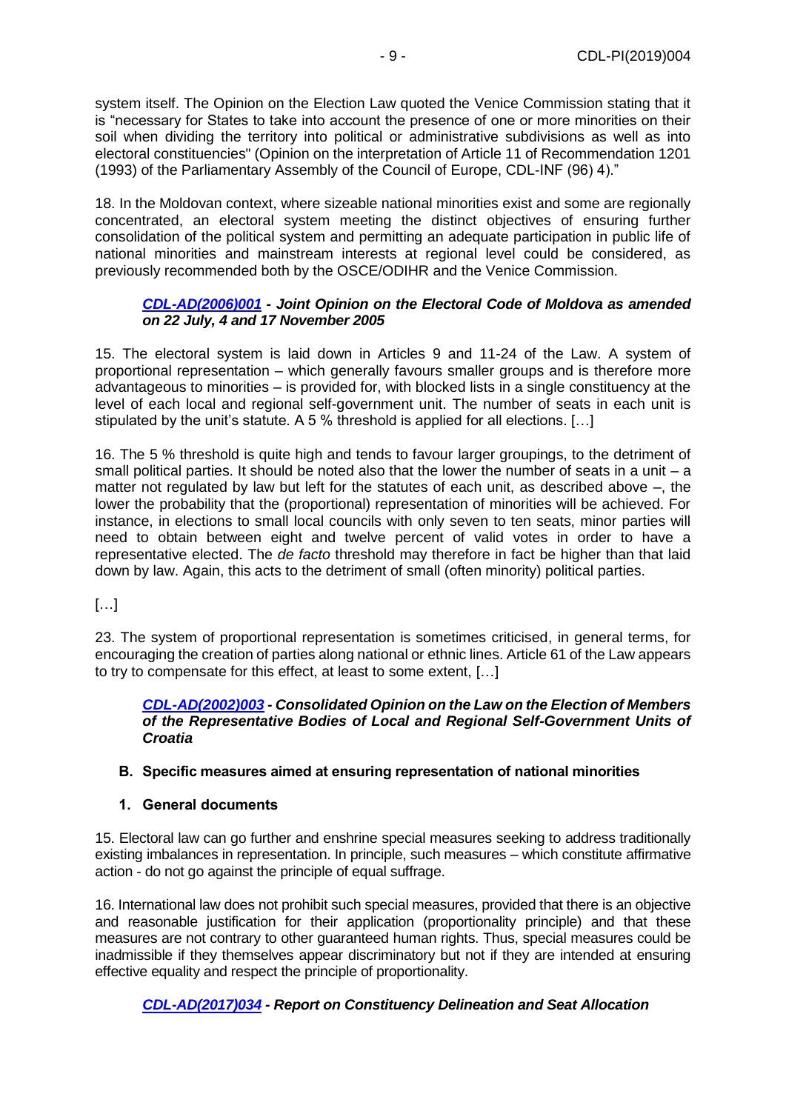system itself. The Opinion on the Election Law quoted the Venice Commission stating that it is "necessary for States to take into account the presence of one or more minorities on their soil when dividing the territory into political or administrative subdivisions as well as into electoral constituencies" (Opinion on the interpretation of Article 11 of Recommendation 1201 (1993) of the Parliamentary Assembly of the Council of Europe, CDL-INF (96) 4)."

18. In the Moldovan context, where sizeable national minorities exist and some are regionally concentrated, an electoral system meeting the distinct objectives of ensuring further consolidation of the political system and permitting an adequate participation in public life of national minorities and mainstream interests at regional level could be considered, as previously recommended both by the OSCE/ODIHR and the Venice Commission.

## *[CDL-AD\(2006\)001](https://www.venice.coe.int/webforms/documents/?pdf=CDL-AD(2006)001-e) - Joint Opinion on the Electoral Code of Moldova as amended on 22 July, 4 and 17 November 2005*

15. The electoral system is laid down in Articles 9 and 11-24 of the Law. A system of proportional representation – which generally favours smaller groups and is therefore more advantageous to minorities – is provided for, with blocked lists in a single constituency at the level of each local and regional self-government unit. The number of seats in each unit is stipulated by the unit's statute. A 5 % threshold is applied for all elections. […]

16. The 5 % threshold is quite high and tends to favour larger groupings, to the detriment of small political parties. It should be noted also that the lower the number of seats in a unit  $-$  a matter not regulated by law but left for the statutes of each unit, as described above –, the lower the probability that the (proportional) representation of minorities will be achieved. For instance, in elections to small local councils with only seven to ten seats, minor parties will need to obtain between eight and twelve percent of valid votes in order to have a representative elected. The *de facto* threshold may therefore in fact be higher than that laid down by law. Again, this acts to the detriment of small (often minority) political parties.

[…]

23. The system of proportional representation is sometimes criticised, in general terms, for encouraging the creation of parties along national or ethnic lines. Article 61 of the Law appears to try to compensate for this effect, at least to some extent, […]

#### *[CDL-AD\(2002\)003](https://www.venice.coe.int/webforms/documents/?pdf=CDL-AD(2002)003-e) - Consolidated Opinion on the Law on the Election of Members of the Representative Bodies of Local and Regional Self-Government Units of Croatia*

## <span id="page-8-0"></span>**B. Specific measures aimed at ensuring representation of national minorities**

## <span id="page-8-1"></span>**1. General documents**

15. Electoral law can go further and enshrine special measures seeking to address traditionally existing imbalances in representation. In principle, such measures – which constitute affirmative action - do not go against the principle of equal suffrage.

16. International law does not prohibit such special measures, provided that there is an objective and reasonable justification for their application (proportionality principle) and that these measures are not contrary to other guaranteed human rights. Thus, special measures could be inadmissible if they themselves appear discriminatory but not if they are intended at ensuring effective equality and respect the principle of proportionality.

# *[CDL-AD\(2017\)034](https://www.venice.coe.int/webforms/documents/?pdf=CDL-AD(2017)034-e) - Report on Constituency Delineation and Seat Allocation*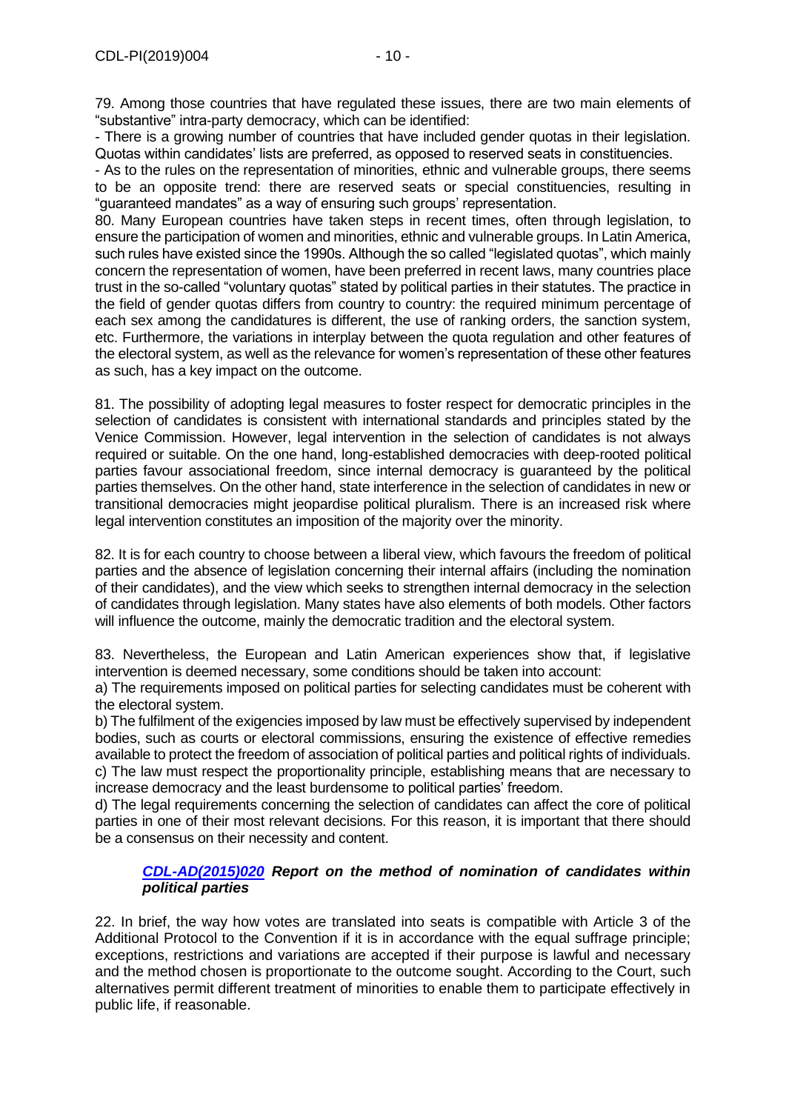79. Among those countries that have regulated these issues, there are two main elements of "substantive" intra-party democracy, which can be identified:

- There is a growing number of countries that have included gender quotas in their legislation. Quotas within candidates' lists are preferred, as opposed to reserved seats in constituencies.

- As to the rules on the representation of minorities, ethnic and vulnerable groups, there seems to be an opposite trend: there are reserved seats or special constituencies, resulting in "guaranteed mandates" as a way of ensuring such groups' representation.

80. Many European countries have taken steps in recent times, often through legislation, to ensure the participation of women and minorities, ethnic and vulnerable groups. In Latin America, such rules have existed since the 1990s. Although the so called "legislated quotas", which mainly concern the representation of women, have been preferred in recent laws, many countries place trust in the so-called "voluntary quotas" stated by political parties in their statutes. The practice in the field of gender quotas differs from country to country: the required minimum percentage of each sex among the candidatures is different, the use of ranking orders, the sanction system, etc. Furthermore, the variations in interplay between the quota regulation and other features of the electoral system, as well as the relevance for women's representation of these other features as such, has a key impact on the outcome.

81. The possibility of adopting legal measures to foster respect for democratic principles in the selection of candidates is consistent with international standards and principles stated by the Venice Commission. However, legal intervention in the selection of candidates is not always required or suitable. On the one hand, long-established democracies with deep-rooted political parties favour associational freedom, since internal democracy is guaranteed by the political parties themselves. On the other hand, state interference in the selection of candidates in new or transitional democracies might jeopardise political pluralism. There is an increased risk where legal intervention constitutes an imposition of the majority over the minority.

82. It is for each country to choose between a liberal view, which favours the freedom of political parties and the absence of legislation concerning their internal affairs (including the nomination of their candidates), and the view which seeks to strengthen internal democracy in the selection of candidates through legislation. Many states have also elements of both models. Other factors will influence the outcome, mainly the democratic tradition and the electoral system.

83. Nevertheless, the European and Latin American experiences show that, if legislative intervention is deemed necessary, some conditions should be taken into account:

a) The requirements imposed on political parties for selecting candidates must be coherent with the electoral system.

b) The fulfilment of the exigencies imposed by law must be effectively supervised by independent bodies, such as courts or electoral commissions, ensuring the existence of effective remedies available to protect the freedom of association of political parties and political rights of individuals. c) The law must respect the proportionality principle, establishing means that are necessary to increase democracy and the least burdensome to political parties' freedom.

d) The legal requirements concerning the selection of candidates can affect the core of political parties in one of their most relevant decisions. For this reason, it is important that there should be a consensus on their necessity and content.

## *[CDL-AD\(2015\)020](https://www.venice.coe.int/webforms/documents/?pdf=CDL-AD(2015)020-e) Report on the method of nomination of candidates within political parties*

22. In brief, the way how votes are translated into seats is compatible with Article 3 of the Additional Protocol to the Convention if it is in accordance with the equal suffrage principle; exceptions, restrictions and variations are accepted if their purpose is lawful and necessary and the method chosen is proportionate to the outcome sought. According to the Court, such alternatives permit different treatment of minorities to enable them to participate effectively in public life, if reasonable.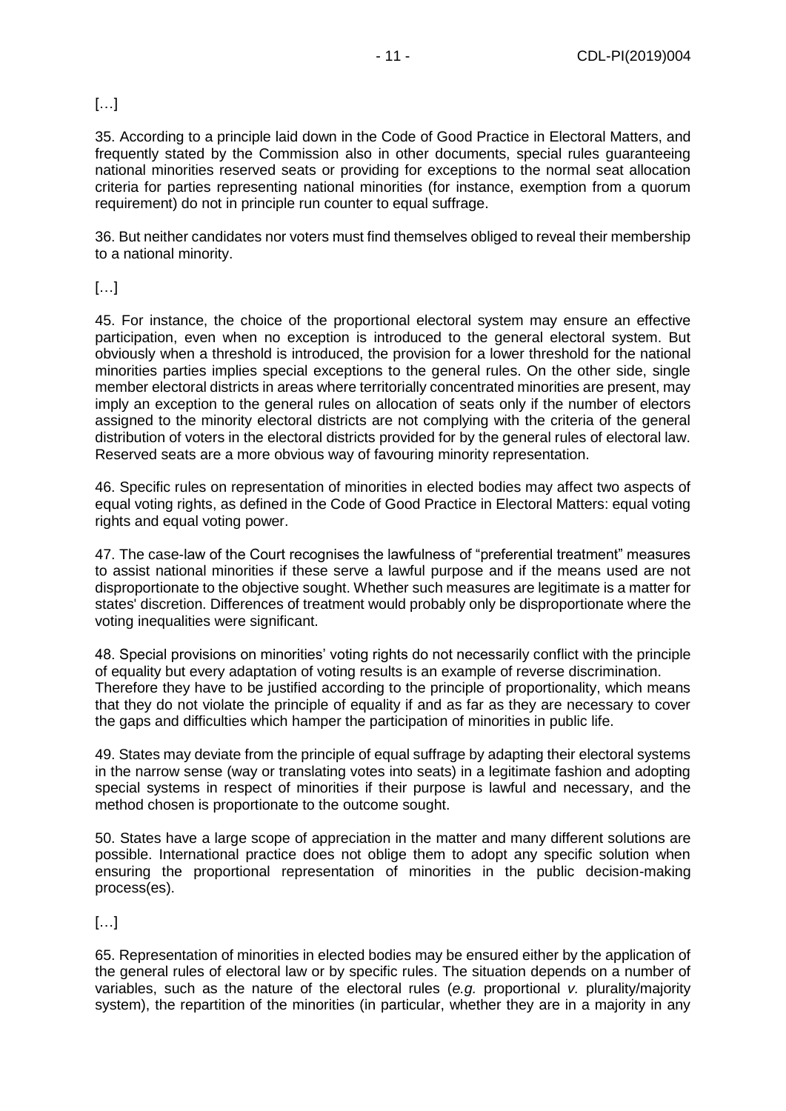# […]

35. According to a principle laid down in the Code of Good Practice in Electoral Matters, and frequently stated by the Commission also in other documents, special rules guaranteeing national minorities reserved seats or providing for exceptions to the normal seat allocation criteria for parties representing national minorities (for instance, exemption from a quorum requirement) do not in principle run counter to equal suffrage.

36. But neither candidates nor voters must find themselves obliged to reveal their membership to a national minority.

# […]

45. For instance, the choice of the proportional electoral system may ensure an effective participation, even when no exception is introduced to the general electoral system. But obviously when a threshold is introduced, the provision for a lower threshold for the national minorities parties implies special exceptions to the general rules. On the other side, single member electoral districts in areas where territorially concentrated minorities are present, may imply an exception to the general rules on allocation of seats only if the number of electors assigned to the minority electoral districts are not complying with the criteria of the general distribution of voters in the electoral districts provided for by the general rules of electoral law. Reserved seats are a more obvious way of favouring minority representation.

46. Specific rules on representation of minorities in elected bodies may affect two aspects of equal voting rights, as defined in the Code of Good Practice in Electoral Matters: equal voting rights and equal voting power.

47. The case-law of the Court recognises the lawfulness of "preferential treatment" measures to assist national minorities if these serve a lawful purpose and if the means used are not disproportionate to the objective sought. Whether such measures are legitimate is a matter for states' discretion. Differences of treatment would probably only be disproportionate where the voting inequalities were significant.

48. Special provisions on minorities' voting rights do not necessarily conflict with the principle of equality but every adaptation of voting results is an example of reverse discrimination. Therefore they have to be justified according to the principle of proportionality, which means that they do not violate the principle of equality if and as far as they are necessary to cover the gaps and difficulties which hamper the participation of minorities in public life.

49. States may deviate from the principle of equal suffrage by adapting their electoral systems in the narrow sense (way or translating votes into seats) in a legitimate fashion and adopting special systems in respect of minorities if their purpose is lawful and necessary, and the method chosen is proportionate to the outcome sought.

50. States have a large scope of appreciation in the matter and many different solutions are possible. International practice does not oblige them to adopt any specific solution when ensuring the proportional representation of minorities in the public decision-making process(es).

# […]

65. Representation of minorities in elected bodies may be ensured either by the application of the general rules of electoral law or by specific rules. The situation depends on a number of variables, such as the nature of the electoral rules (*e.g.* proportional *v.* plurality/majority system), the repartition of the minorities (in particular, whether they are in a majority in any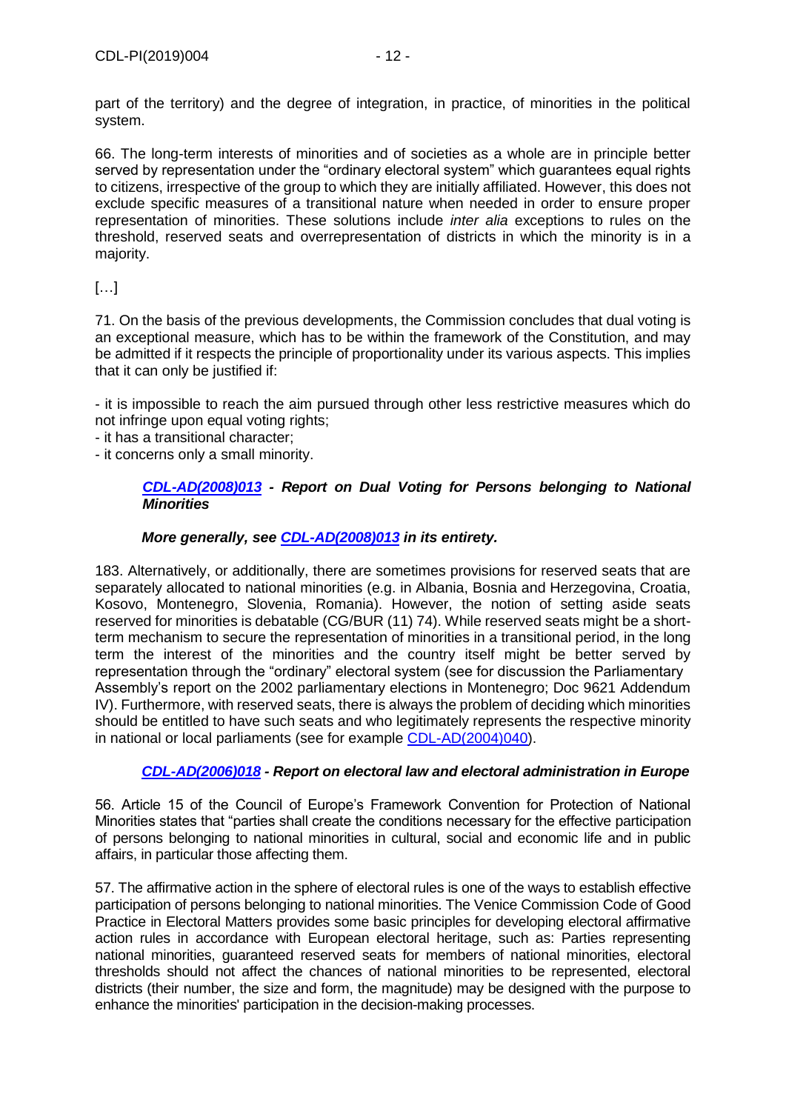part of the territory) and the degree of integration, in practice, of minorities in the political system.

66. The long-term interests of minorities and of societies as a whole are in principle better served by representation under the "ordinary electoral system" which guarantees equal rights to citizens, irrespective of the group to which they are initially affiliated. However, this does not exclude specific measures of a transitional nature when needed in order to ensure proper representation of minorities. These solutions include *inter alia* exceptions to rules on the threshold, reserved seats and overrepresentation of districts in which the minority is in a majority.

# […]

71. On the basis of the previous developments, the Commission concludes that dual voting is an exceptional measure, which has to be within the framework of the Constitution, and may be admitted if it respects the principle of proportionality under its various aspects. This implies that it can only be justified if:

- it is impossible to reach the aim pursued through other less restrictive measures which do not infringe upon equal voting rights;

- it has a transitional character;

- it concerns only a small minority.

#### *[CDL-AD\(2008\)013](https://www.venice.coe.int/webforms/documents/?pdf=CDL-AD(2008)013-e) - Report on Dual Voting for Persons belonging to National Minorities*

## *More generally, see [CDL-AD\(2008\)013](https://www.venice.coe.int/webforms/documents/?pdf=CDL-AD(2008)013-e) in its entirety.*

183. Alternatively, or additionally, there are sometimes provisions for reserved seats that are separately allocated to national minorities (e.g. in Albania, Bosnia and Herzegovina, Croatia, Kosovo, Montenegro, Slovenia, Romania). However, the notion of setting aside seats reserved for minorities is debatable (CG/BUR (11) 74). While reserved seats might be a shortterm mechanism to secure the representation of minorities in a transitional period, in the long term the interest of the minorities and the country itself might be better served by representation through the "ordinary" electoral system (see for discussion the Parliamentary Assembly's report on the 2002 parliamentary elections in Montenegro; Doc 9621 Addendum IV). Furthermore, with reserved seats, there is always the problem of deciding which minorities should be entitled to have such seats and who legitimately represents the respective minority in national or local parliaments (see for example [CDL-AD\(2004\)040\)](https://www.venice.coe.int/webforms/documents/?pdf=CDL-AD(2004)040-e).

## *[CDL-AD\(2006\)018](https://www.venice.coe.int/webforms/documents/?pdf=CDL-AD(2006)018-e) - Report on electoral law and electoral administration in Europe*

56. Article 15 of the Council of Europe's Framework Convention for Protection of National Minorities states that "parties shall create the conditions necessary for the effective participation of persons belonging to national minorities in cultural, social and economic life and in public affairs, in particular those affecting them.

57. The affirmative action in the sphere of electoral rules is one of the ways to establish effective participation of persons belonging to national minorities. The Venice Commission Code of Good Practice in Electoral Matters provides some basic principles for developing electoral affirmative action rules in accordance with European electoral heritage, such as: Parties representing national minorities, guaranteed reserved seats for members of national minorities, electoral thresholds should not affect the chances of national minorities to be represented, electoral districts (their number, the size and form, the magnitude) may be designed with the purpose to enhance the minorities' participation in the decision-making processes.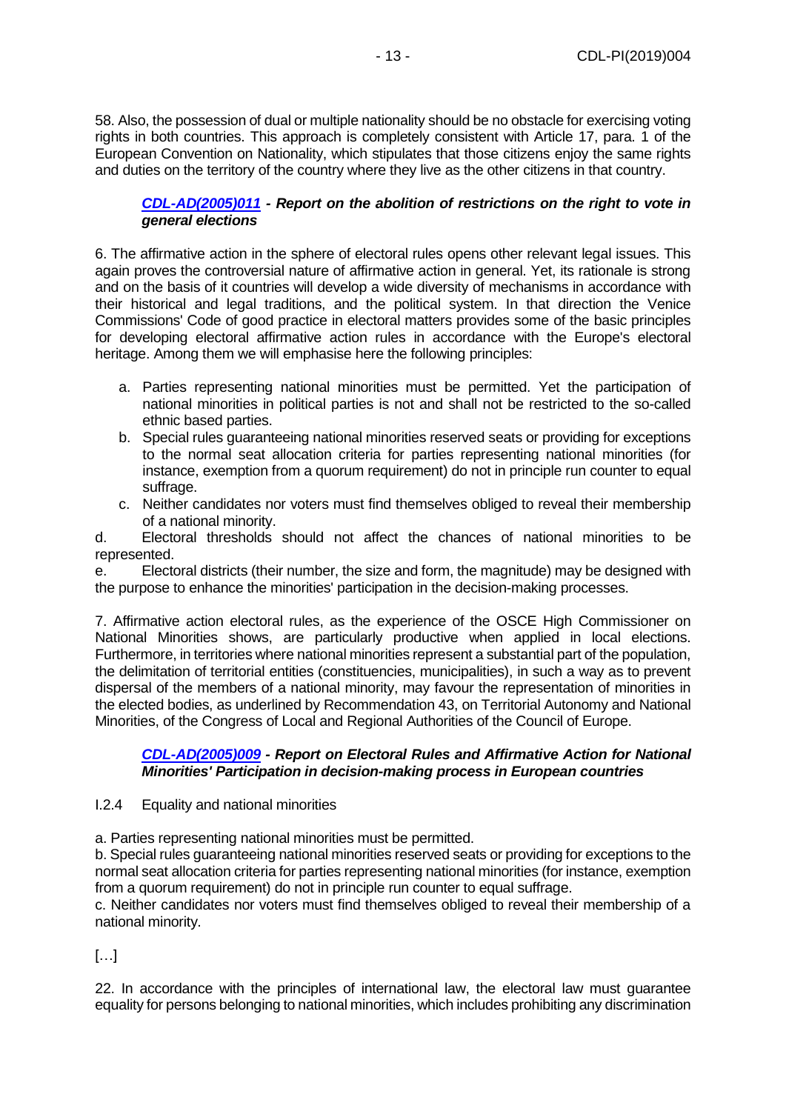58. Also, the possession of dual or multiple nationality should be no obstacle for exercising voting rights in both countries. This approach is completely consistent with Article 17, para. 1 of the European Convention on Nationality, which stipulates that those citizens enjoy the same rights and duties on the territory of the country where they live as the other citizens in that country.

## *[CDL-AD\(2005\)011](https://www.venice.coe.int/webforms/documents/?pdf=CDL-AD(2005)011-e) - Report on the abolition of restrictions on the right to vote in general elections*

6. The affirmative action in the sphere of electoral rules opens other relevant legal issues. This again proves the controversial nature of affirmative action in general. Yet, its rationale is strong and on the basis of it countries will develop a wide diversity of mechanisms in accordance with their historical and legal traditions, and the political system. In that direction the Venice Commissions' Code of good practice in electoral matters provides some of the basic principles for developing electoral affirmative action rules in accordance with the Europe's electoral heritage. Among them we will emphasise here the following principles:

- a. Parties representing national minorities must be permitted. Yet the participation of national minorities in political parties is not and shall not be restricted to the so-called ethnic based parties.
- b. Special rules guaranteeing national minorities reserved seats or providing for exceptions to the normal seat allocation criteria for parties representing national minorities (for instance, exemption from a quorum requirement) do not in principle run counter to equal suffrage.
- c. Neither candidates nor voters must find themselves obliged to reveal their membership of a national minority.

d. Electoral thresholds should not affect the chances of national minorities to be represented.

e. Electoral districts (their number, the size and form, the magnitude) may be designed with the purpose to enhance the minorities' participation in the decision-making processes.

7. Affirmative action electoral rules, as the experience of the OSCE High Commissioner on National Minorities shows, are particularly productive when applied in local elections. Furthermore, in territories where national minorities represent a substantial part of the population, the delimitation of territorial entities (constituencies, municipalities), in such a way as to prevent dispersal of the members of a national minority, may favour the representation of minorities in the elected bodies, as underlined by Recommendation 43, on Territorial Autonomy and National Minorities, of the Congress of Local and Regional Authorities of the Council of Europe.

## *[CDL-AD\(2005\)009](https://www.venice.coe.int/webforms/documents/?pdf=CDL-AD(2005)009-e) - Report on Electoral Rules and Affirmative Action for National Minorities' Participation in decision-making process in European countries*

## I.2.4 Equality and national minorities

a. Parties representing national minorities must be permitted.

b. Special rules guaranteeing national minorities reserved seats or providing for exceptions to the normal seat allocation criteria for parties representing national minorities (for instance, exemption from a quorum requirement) do not in principle run counter to equal suffrage.

c. Neither candidates nor voters must find themselves obliged to reveal their membership of a national minority.

[…]

22. In accordance with the principles of international law, the electoral law must guarantee equality for persons belonging to national minorities, which includes prohibiting any discrimination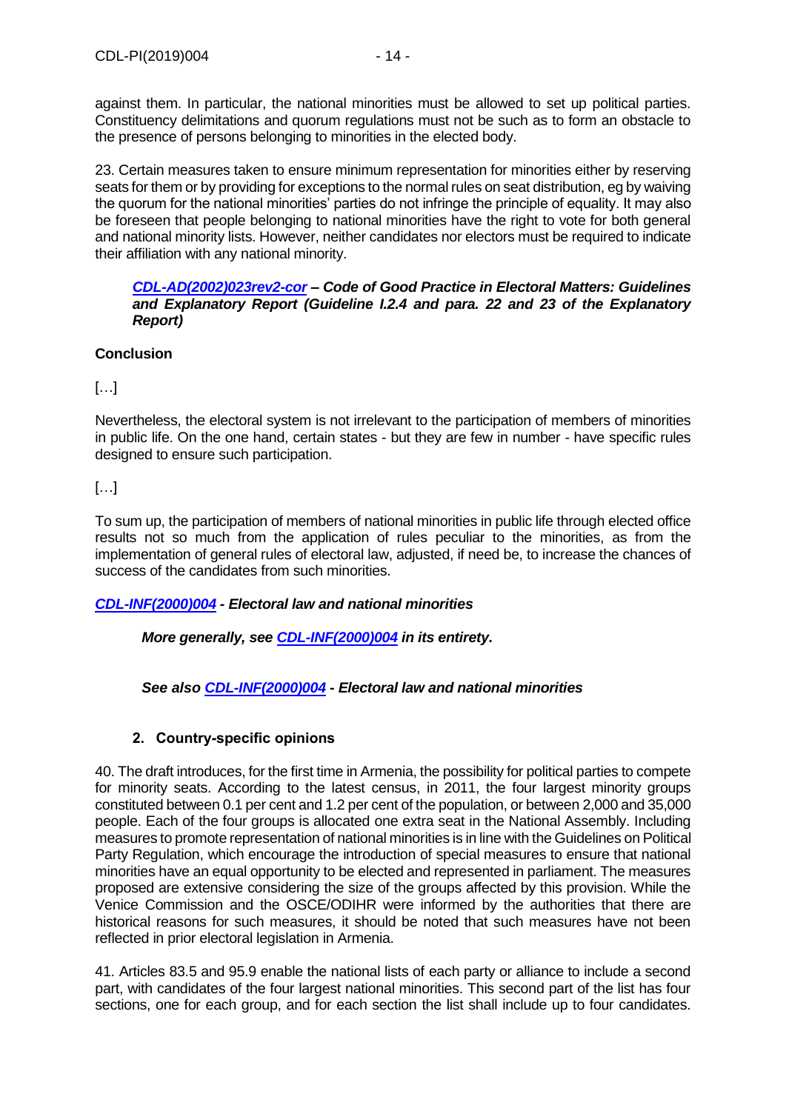against them. In particular, the national minorities must be allowed to set up political parties. Constituency delimitations and quorum regulations must not be such as to form an obstacle to the presence of persons belonging to minorities in the elected body.

23. Certain measures taken to ensure minimum representation for minorities either by reserving seats for them or by providing for exceptions to the normal rules on seat distribution, eg by waiving the quorum for the national minorities' parties do not infringe the principle of equality. It may also be foreseen that people belonging to national minorities have the right to vote for both general and national minority lists. However, neither candidates nor electors must be required to indicate their affiliation with any national minority.

#### *[CDL-AD\(2002\)023rev2-cor](https://www.venice.coe.int/webforms/documents/?pdf=CDL-AD(2002)023rev2-cor-e) – Code of Good Practice in Electoral Matters: Guidelines and Explanatory Report (Guideline I.2.4 and para. 22 and 23 of the Explanatory Report)*

# **Conclusion**

 $[\ldots]$ 

Nevertheless, the electoral system is not irrelevant to the participation of members of minorities in public life. On the one hand, certain states - but they are few in number - have specific rules designed to ensure such participation.

# […]

To sum up, the participation of members of national minorities in public life through elected office results not so much from the application of rules peculiar to the minorities, as from the implementation of general rules of electoral law, adjusted, if need be, to increase the chances of success of the candidates from such minorities.

# *[CDL-INF\(2000\)004](https://www.venice.coe.int/webforms/documents/?pdf=CDL-INF(2000)004-e) - Electoral law and national minorities*

*More generally, see [CDL-INF\(2000\)004](https://www.venice.coe.int/webforms/documents/?pdf=CDL-INF(2000)004-e) in its entirety.*

*See also [CDL-INF\(2000\)004](https://www.venice.coe.int/webforms/documents/?pdf=CDL-INF(2000)004-e) - Electoral law and national minorities*

# **2. Country-specific opinions**

<span id="page-13-0"></span>40. The draft introduces, for the first time in Armenia, the possibility for political parties to compete for minority seats. According to the latest census, in 2011, the four largest minority groups constituted between 0.1 per cent and 1.2 per cent of the population, or between 2,000 and 35,000 people. Each of the four groups is allocated one extra seat in the National Assembly. Including measures to promote representation of national minorities is in line with the Guidelines on Political Party Regulation, which encourage the introduction of special measures to ensure that national minorities have an equal opportunity to be elected and represented in parliament. The measures proposed are extensive considering the size of the groups affected by this provision. While the Venice Commission and the OSCE/ODIHR were informed by the authorities that there are historical reasons for such measures, it should be noted that such measures have not been reflected in prior electoral legislation in Armenia.

41. Articles 83.5 and 95.9 enable the national lists of each party or alliance to include a second part, with candidates of the four largest national minorities. This second part of the list has four sections, one for each group, and for each section the list shall include up to four candidates.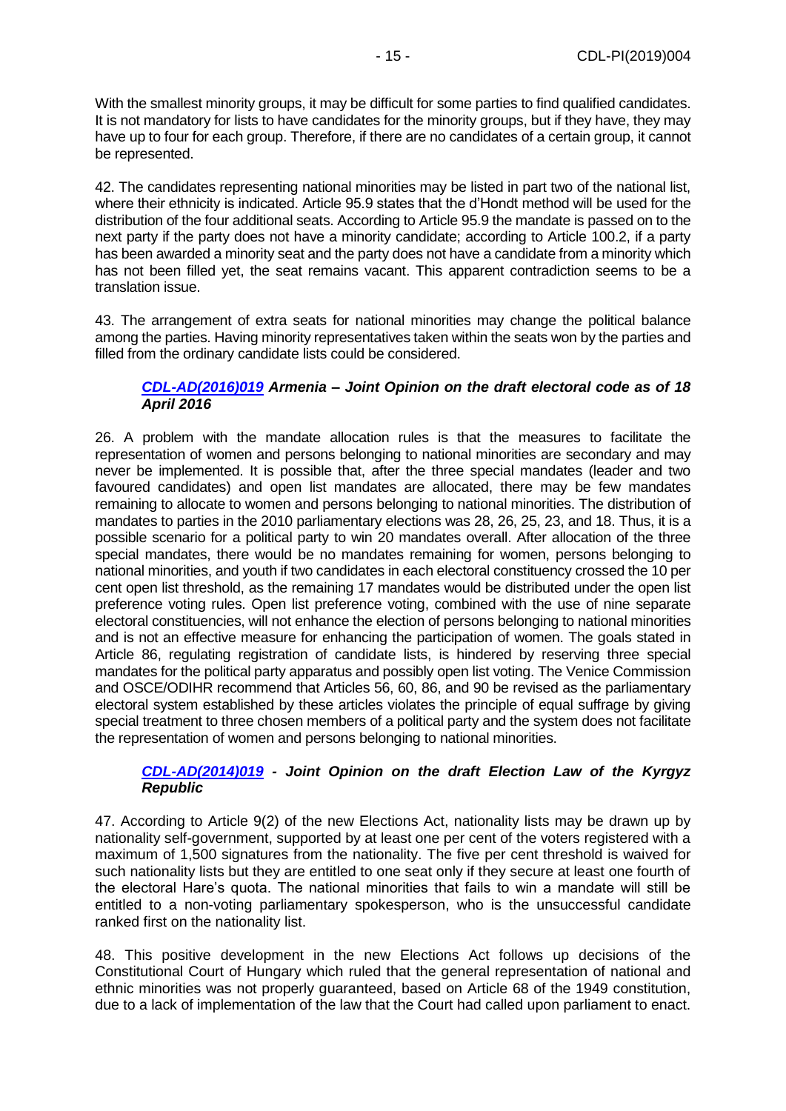With the smallest minority groups, it may be difficult for some parties to find qualified candidates. It is not mandatory for lists to have candidates for the minority groups, but if they have, they may have up to four for each group. Therefore, if there are no candidates of a certain group, it cannot be represented.

42. The candidates representing national minorities may be listed in part two of the national list, where their ethnicity is indicated. Article 95.9 states that the d'Hondt method will be used for the distribution of the four additional seats. According to Article 95.9 the mandate is passed on to the next party if the party does not have a minority candidate; according to Article 100.2, if a party has been awarded a minority seat and the party does not have a candidate from a minority which has not been filled yet, the seat remains vacant. This apparent contradiction seems to be a translation issue.

43. The arrangement of extra seats for national minorities may change the political balance among the parties. Having minority representatives taken within the seats won by the parties and filled from the ordinary candidate lists could be considered.

#### *[CDL-AD\(2016\)019](https://www.venice.coe.int/webforms/documents/?pdf=CDL-AD(2016)019-e) Armenia – Joint Opinion on the draft electoral code as of 18 April 2016*

26. A problem with the mandate allocation rules is that the measures to facilitate the representation of women and persons belonging to national minorities are secondary and may never be implemented. It is possible that, after the three special mandates (leader and two favoured candidates) and open list mandates are allocated, there may be few mandates remaining to allocate to women and persons belonging to national minorities. The distribution of mandates to parties in the 2010 parliamentary elections was 28, 26, 25, 23, and 18. Thus, it is a possible scenario for a political party to win 20 mandates overall. After allocation of the three special mandates, there would be no mandates remaining for women, persons belonging to national minorities, and youth if two candidates in each electoral constituency crossed the 10 per cent open list threshold, as the remaining 17 mandates would be distributed under the open list preference voting rules. Open list preference voting, combined with the use of nine separate electoral constituencies, will not enhance the election of persons belonging to national minorities and is not an effective measure for enhancing the participation of women. The goals stated in Article 86, regulating registration of candidate lists, is hindered by reserving three special mandates for the political party apparatus and possibly open list voting. The Venice Commission and OSCE/ODIHR recommend that Articles 56, 60, 86, and 90 be revised as the parliamentary electoral system established by these articles violates the principle of equal suffrage by giving special treatment to three chosen members of a political party and the system does not facilitate the representation of women and persons belonging to national minorities.

## *[CDL-AD\(2014\)019](https://www.venice.coe.int/webforms/documents/?pdf=CDL-AD(2014)019-e) - Joint Opinion on the draft Election Law of the Kyrgyz Republic*

47. According to Article 9(2) of the new Elections Act, nationality lists may be drawn up by nationality self-government, supported by at least one per cent of the voters registered with a maximum of 1,500 signatures from the nationality. The five per cent threshold is waived for such nationality lists but they are entitled to one seat only if they secure at least one fourth of the electoral Hare's quota. The national minorities that fails to win a mandate will still be entitled to a non-voting parliamentary spokesperson, who is the unsuccessful candidate ranked first on the nationality list.

48. This positive development in the new Elections Act follows up decisions of the Constitutional Court of Hungary which ruled that the general representation of national and ethnic minorities was not properly guaranteed, based on Article 68 of the 1949 constitution, due to a lack of implementation of the law that the Court had called upon parliament to enact.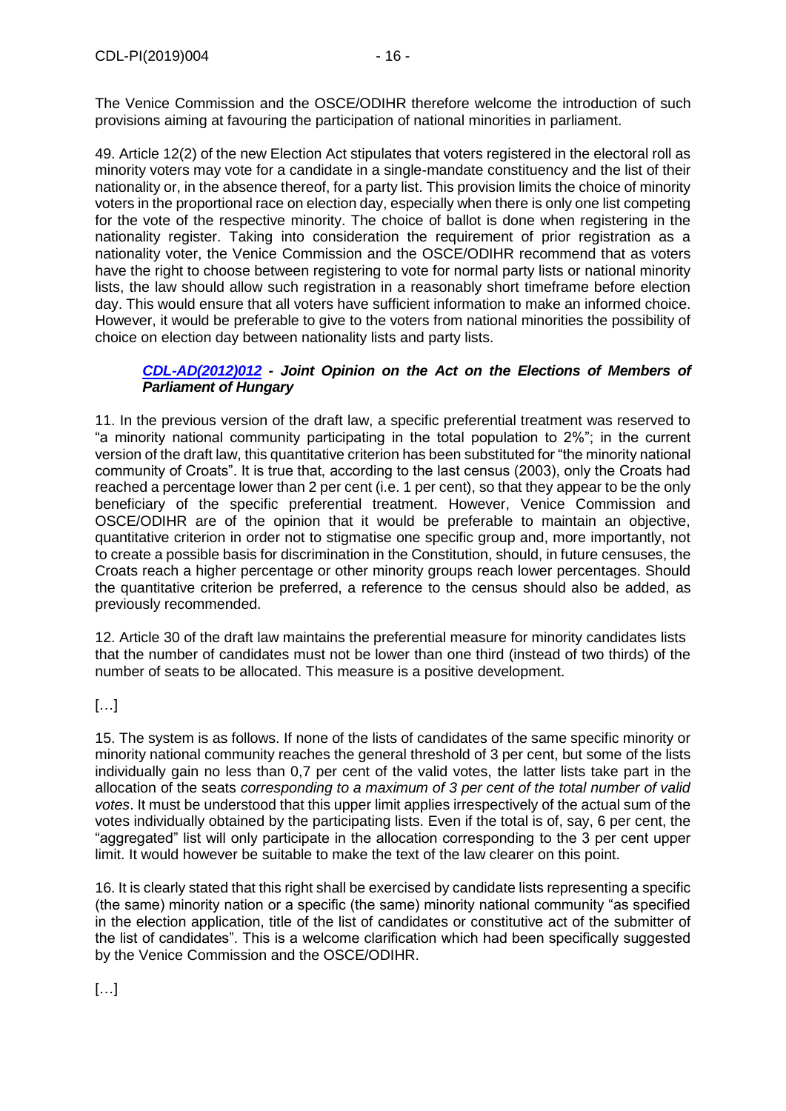The Venice Commission and the OSCE/ODIHR therefore welcome the introduction of such provisions aiming at favouring the participation of national minorities in parliament.

49. Article 12(2) of the new Election Act stipulates that voters registered in the electoral roll as minority voters may vote for a candidate in a single-mandate constituency and the list of their nationality or, in the absence thereof, for a party list. This provision limits the choice of minority voters in the proportional race on election day, especially when there is only one list competing for the vote of the respective minority. The choice of ballot is done when registering in the nationality register. Taking into consideration the requirement of prior registration as a nationality voter, the Venice Commission and the OSCE/ODIHR recommend that as voters have the right to choose between registering to vote for normal party lists or national minority lists, the law should allow such registration in a reasonably short timeframe before election day. This would ensure that all voters have sufficient information to make an informed choice. However, it would be preferable to give to the voters from national minorities the possibility of choice on election day between nationality lists and party lists.

## *[CDL-AD\(2012\)012](https://www.venice.coe.int/webforms/documents/?pdf=CDL-AD(2012)012-e) - Joint Opinion on the Act on the Elections of Members of Parliament of Hungary*

11. In the previous version of the draft law, a specific preferential treatment was reserved to "a minority national community participating in the total population to 2%"; in the current version of the draft law, this quantitative criterion has been substituted for "the minority national community of Croats". It is true that, according to the last census (2003), only the Croats had reached a percentage lower than 2 per cent (i.e. 1 per cent), so that they appear to be the only beneficiary of the specific preferential treatment. However, Venice Commission and OSCE/ODIHR are of the opinion that it would be preferable to maintain an objective, quantitative criterion in order not to stigmatise one specific group and, more importantly, not to create a possible basis for discrimination in the Constitution, should, in future censuses, the Croats reach a higher percentage or other minority groups reach lower percentages. Should the quantitative criterion be preferred, a reference to the census should also be added, as previously recommended.

12. Article 30 of the draft law maintains the preferential measure for minority candidates lists that the number of candidates must not be lower than one third (instead of two thirds) of the number of seats to be allocated. This measure is a positive development.

[…]

15. The system is as follows. If none of the lists of candidates of the same specific minority or minority national community reaches the general threshold of 3 per cent, but some of the lists individually gain no less than 0,7 per cent of the valid votes, the latter lists take part in the allocation of the seats *corresponding to a maximum of 3 per cent of the total number of valid votes*. It must be understood that this upper limit applies irrespectively of the actual sum of the votes individually obtained by the participating lists. Even if the total is of, say, 6 per cent, the "aggregated" list will only participate in the allocation corresponding to the 3 per cent upper limit. It would however be suitable to make the text of the law clearer on this point.

16. It is clearly stated that this right shall be exercised by candidate lists representing a specific (the same) minority nation or a specific (the same) minority national community "as specified in the election application, title of the list of candidates or constitutive act of the submitter of the list of candidates". This is a welcome clarification which had been specifically suggested by the Venice Commission and the OSCE/ODIHR.

[…]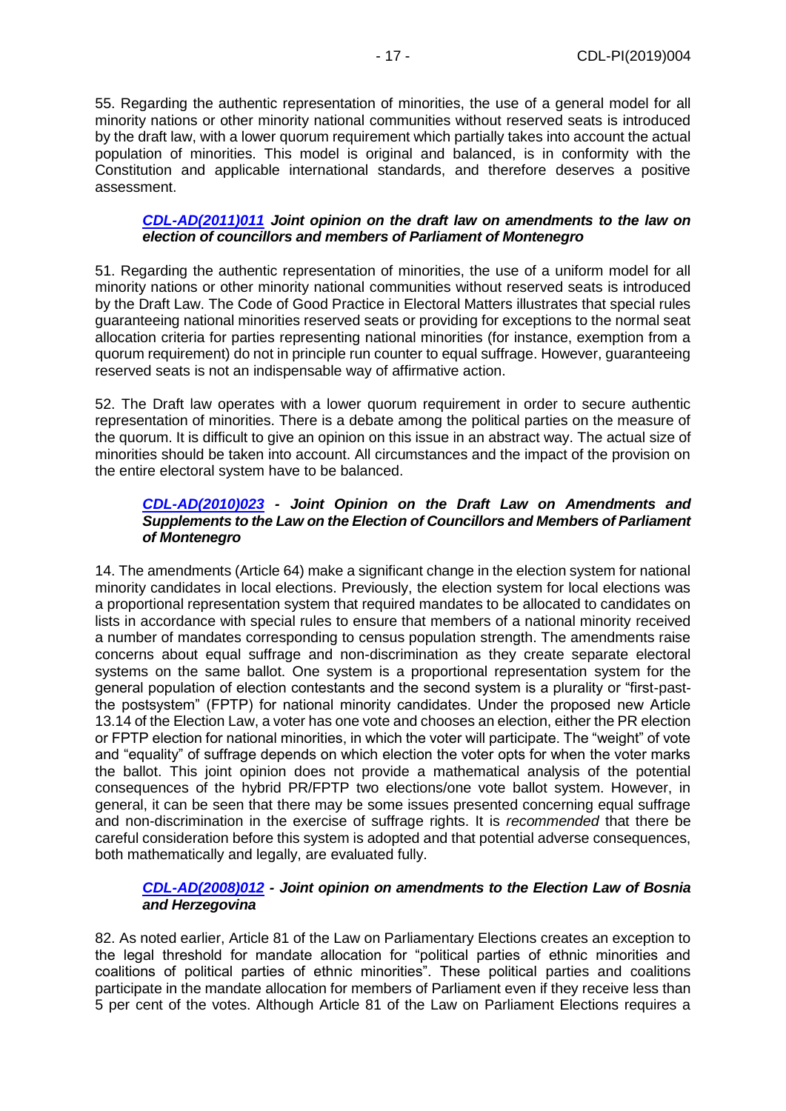55. Regarding the authentic representation of minorities, the use of a general model for all minority nations or other minority national communities without reserved seats is introduced by the draft law, with a lower quorum requirement which partially takes into account the actual population of minorities. This model is original and balanced, is in conformity with the Constitution and applicable international standards, and therefore deserves a positive assessment.

#### *[CDL-AD\(2011\)011](https://www.venice.coe.int/webforms/documents/?pdf=CDL-AD(2011)011-e) Joint opinion on the draft law on amendments to the law on election of councillors and members of Parliament of Montenegro*

51. Regarding the authentic representation of minorities, the use of a uniform model for all minority nations or other minority national communities without reserved seats is introduced by the Draft Law. The Code of Good Practice in Electoral Matters illustrates that special rules guaranteeing national minorities reserved seats or providing for exceptions to the normal seat allocation criteria for parties representing national minorities (for instance, exemption from a quorum requirement) do not in principle run counter to equal suffrage. However, guaranteeing reserved seats is not an indispensable way of affirmative action.

52. The Draft law operates with a lower quorum requirement in order to secure authentic representation of minorities. There is a debate among the political parties on the measure of the quorum. It is difficult to give an opinion on this issue in an abstract way. The actual size of minorities should be taken into account. All circumstances and the impact of the provision on the entire electoral system have to be balanced.

#### *[CDL-AD\(2010\)023](https://www.venice.coe.int/webforms/documents/?pdf=CDL-AD(2010)023-e) - Joint Opinion on the Draft Law on Amendments and Supplements to the Law on the Election of Councillors and Members of Parliament of Montenegro*

14. The amendments (Article 64) make a significant change in the election system for national minority candidates in local elections. Previously, the election system for local elections was a proportional representation system that required mandates to be allocated to candidates on lists in accordance with special rules to ensure that members of a national minority received a number of mandates corresponding to census population strength. The amendments raise concerns about equal suffrage and non-discrimination as they create separate electoral systems on the same ballot. One system is a proportional representation system for the general population of election contestants and the second system is a plurality or "first-pastthe postsystem" (FPTP) for national minority candidates. Under the proposed new Article 13.14 of the Election Law, a voter has one vote and chooses an election, either the PR election or FPTP election for national minorities, in which the voter will participate. The "weight" of vote and "equality" of suffrage depends on which election the voter opts for when the voter marks the ballot. This joint opinion does not provide a mathematical analysis of the potential consequences of the hybrid PR/FPTP two elections/one vote ballot system. However, in general, it can be seen that there may be some issues presented concerning equal suffrage and non-discrimination in the exercise of suffrage rights. It is *recommended* that there be careful consideration before this system is adopted and that potential adverse consequences, both mathematically and legally, are evaluated fully.

## *[CDL-AD\(2008\)012](https://www.venice.coe.int/webforms/documents/?pdf=CDL-AD(2008)012-e) - Joint opinion on amendments to the Election Law of Bosnia and Herzegovina*

82. As noted earlier, Article 81 of the Law on Parliamentary Elections creates an exception to the legal threshold for mandate allocation for "political parties of ethnic minorities and coalitions of political parties of ethnic minorities". These political parties and coalitions participate in the mandate allocation for members of Parliament even if they receive less than 5 per cent of the votes. Although Article 81 of the Law on Parliament Elections requires a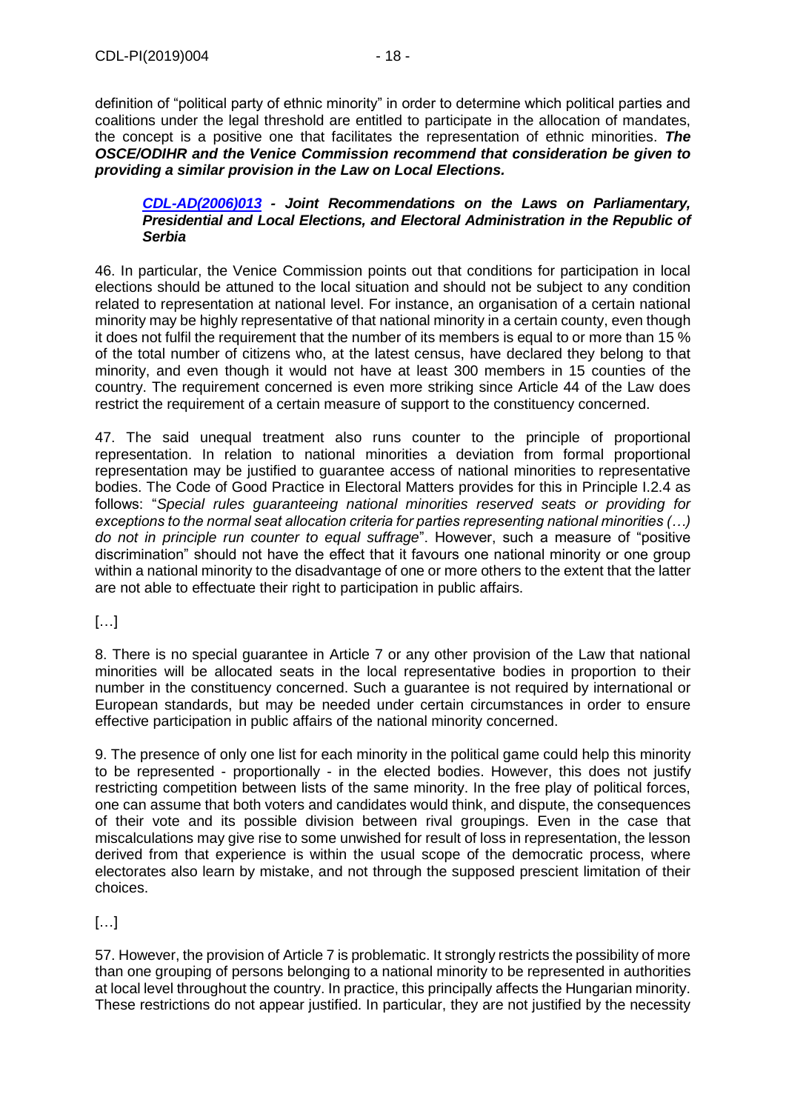definition of "political party of ethnic minority" in order to determine which political parties and coalitions under the legal threshold are entitled to participate in the allocation of mandates, the concept is a positive one that facilitates the representation of ethnic minorities. *The OSCE/ODIHR and the Venice Commission recommend that consideration be given to providing a similar provision in the Law on Local Elections.*

#### *[CDL-AD\(2006\)013](https://www.venice.coe.int/webforms/documents/?pdf=CDL-AD(2006)013-e) - Joint Recommendations on the Laws on Parliamentary, Presidential and Local Elections, and Electoral Administration in the Republic of Serbia*

46. In particular, the Venice Commission points out that conditions for participation in local elections should be attuned to the local situation and should not be subject to any condition related to representation at national level. For instance, an organisation of a certain national minority may be highly representative of that national minority in a certain county, even though it does not fulfil the requirement that the number of its members is equal to or more than 15 % of the total number of citizens who, at the latest census, have declared they belong to that minority, and even though it would not have at least 300 members in 15 counties of the country. The requirement concerned is even more striking since Article 44 of the Law does restrict the requirement of a certain measure of support to the constituency concerned.

47. The said unequal treatment also runs counter to the principle of proportional representation. In relation to national minorities a deviation from formal proportional representation may be justified to guarantee access of national minorities to representative bodies. The Code of Good Practice in Electoral Matters provides for this in Principle I.2.4 as follows: "*Special rules guaranteeing national minorities reserved seats or providing for exceptions to the normal seat allocation criteria for parties representing national minorities (…) do not in principle run counter to equal suffrage*". However, such a measure of "positive discrimination" should not have the effect that it favours one national minority or one group within a national minority to the disadvantage of one or more others to the extent that the latter are not able to effectuate their right to participation in public affairs.

[…]

8. There is no special guarantee in Article 7 or any other provision of the Law that national minorities will be allocated seats in the local representative bodies in proportion to their number in the constituency concerned. Such a guarantee is not required by international or European standards, but may be needed under certain circumstances in order to ensure effective participation in public affairs of the national minority concerned.

9. The presence of only one list for each minority in the political game could help this minority to be represented - proportionally - in the elected bodies. However, this does not justify restricting competition between lists of the same minority. In the free play of political forces, one can assume that both voters and candidates would think, and dispute, the consequences of their vote and its possible division between rival groupings. Even in the case that miscalculations may give rise to some unwished for result of loss in representation, the lesson derived from that experience is within the usual scope of the democratic process, where electorates also learn by mistake, and not through the supposed prescient limitation of their choices.

[…]

57. However, the provision of Article 7 is problematic. It strongly restricts the possibility of more than one grouping of persons belonging to a national minority to be represented in authorities at local level throughout the country. In practice, this principally affects the Hungarian minority. These restrictions do not appear justified. In particular, they are not justified by the necessity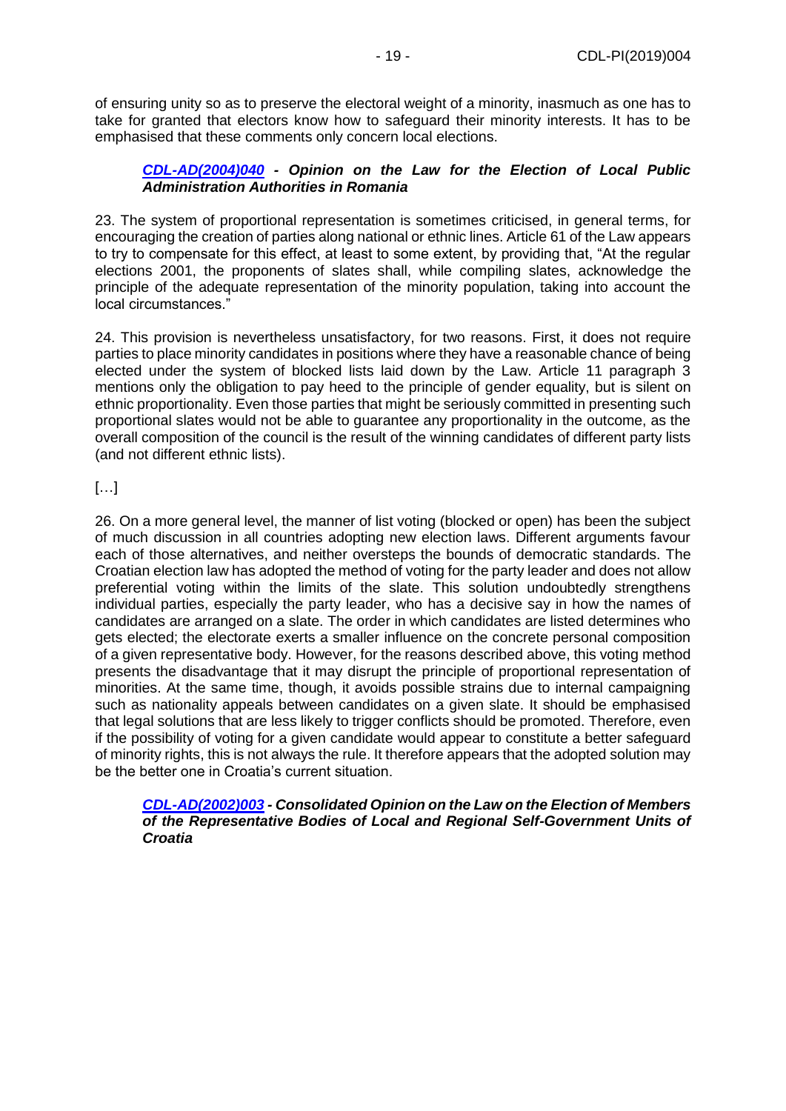of ensuring unity so as to preserve the electoral weight of a minority, inasmuch as one has to take for granted that electors know how to safeguard their minority interests. It has to be emphasised that these comments only concern local elections.

## *[CDL-AD\(2004\)040](https://www.venice.coe.int/webforms/documents/?pdf=CDL-AD(2004)040-e) - Opinion on the Law for the Election of Local Public Administration Authorities in Romania*

23. The system of proportional representation is sometimes criticised, in general terms, for encouraging the creation of parties along national or ethnic lines. Article 61 of the Law appears to try to compensate for this effect, at least to some extent, by providing that, "At the regular elections 2001, the proponents of slates shall, while compiling slates, acknowledge the principle of the adequate representation of the minority population, taking into account the local circumstances."

24. This provision is nevertheless unsatisfactory, for two reasons. First, it does not require parties to place minority candidates in positions where they have a reasonable chance of being elected under the system of blocked lists laid down by the Law. Article 11 paragraph 3 mentions only the obligation to pay heed to the principle of gender equality, but is silent on ethnic proportionality. Even those parties that might be seriously committed in presenting such proportional slates would not be able to guarantee any proportionality in the outcome, as the overall composition of the council is the result of the winning candidates of different party lists (and not different ethnic lists).

# […]

26. On a more general level, the manner of list voting (blocked or open) has been the subject of much discussion in all countries adopting new election laws. Different arguments favour each of those alternatives, and neither oversteps the bounds of democratic standards. The Croatian election law has adopted the method of voting for the party leader and does not allow preferential voting within the limits of the slate. This solution undoubtedly strengthens individual parties, especially the party leader, who has a decisive say in how the names of candidates are arranged on a slate. The order in which candidates are listed determines who gets elected; the electorate exerts a smaller influence on the concrete personal composition of a given representative body. However, for the reasons described above, this voting method presents the disadvantage that it may disrupt the principle of proportional representation of minorities. At the same time, though, it avoids possible strains due to internal campaigning such as nationality appeals between candidates on a given slate. It should be emphasised that legal solutions that are less likely to trigger conflicts should be promoted. Therefore, even if the possibility of voting for a given candidate would appear to constitute a better safeguard of minority rights, this is not always the rule. It therefore appears that the adopted solution may be the better one in Croatia's current situation.

#### *[CDL-AD\(2002\)003](https://www.venice.coe.int/webforms/documents/?pdf=CDL-AD(2002)003-e) - Consolidated Opinion on the Law on the Election of Members of the Representative Bodies of Local and Regional Self-Government Units of Croatia*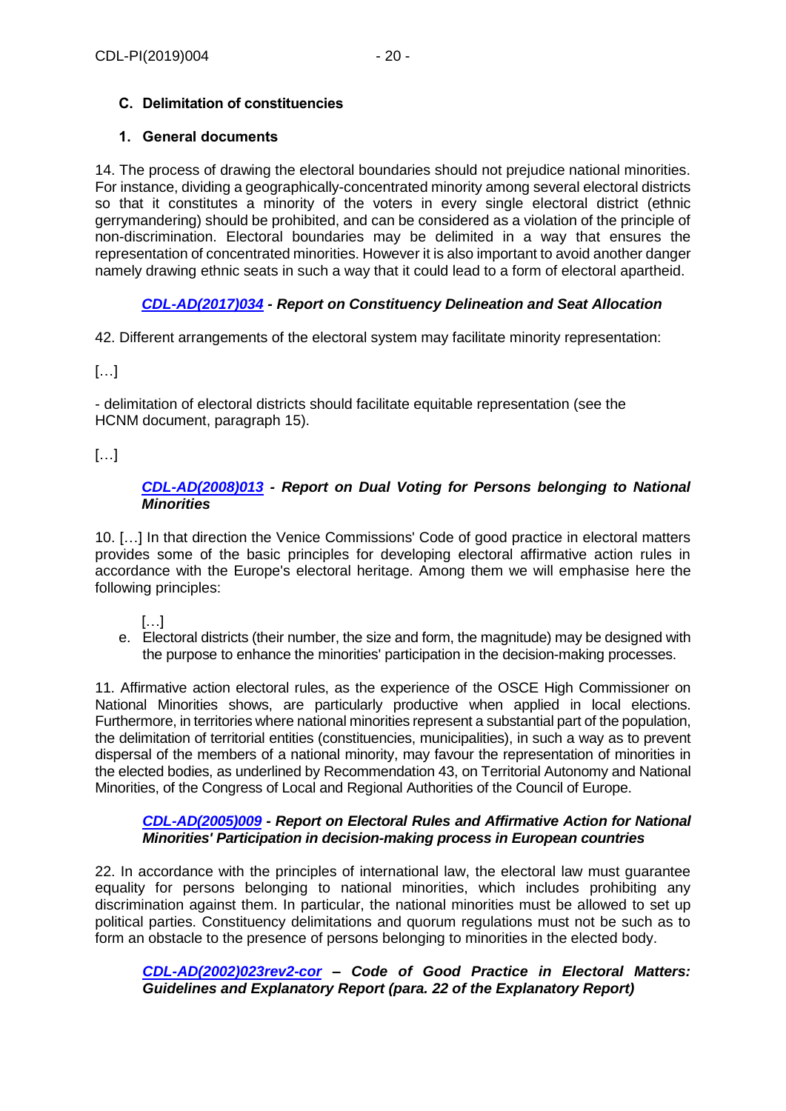# <span id="page-19-0"></span>**C. Delimitation of constituencies**

# <span id="page-19-1"></span>**1. General documents**

14. The process of drawing the electoral boundaries should not prejudice national minorities. For instance, dividing a geographically-concentrated minority among several electoral districts so that it constitutes a minority of the voters in every single electoral district (ethnic gerrymandering) should be prohibited, and can be considered as a violation of the principle of non-discrimination. Electoral boundaries may be delimited in a way that ensures the representation of concentrated minorities. However it is also important to avoid another danger namely drawing ethnic seats in such a way that it could lead to a form of electoral apartheid.

# *[CDL-AD\(2017\)034](https://www.venice.coe.int/webforms/documents/?pdf=CDL-AD(2017)034-e) - Report on Constituency Delineation and Seat Allocation*

42. Different arrangements of the electoral system may facilitate minority representation:

[…]

- delimitation of electoral districts should facilitate equitable representation (see the HCNM document, paragraph 15).

[…]

## *[CDL-AD\(2008\)013](https://www.venice.coe.int/webforms/documents/?pdf=CDL-AD(2008)013-e) - Report on Dual Voting for Persons belonging to National Minorities*

10. […] In that direction the Venice Commissions' Code of good practice in electoral matters provides some of the basic principles for developing electoral affirmative action rules in accordance with the Europe's electoral heritage. Among them we will emphasise here the following principles:

[…]

e. Electoral districts (their number, the size and form, the magnitude) may be designed with the purpose to enhance the minorities' participation in the decision-making processes.

11. Affirmative action electoral rules, as the experience of the OSCE High Commissioner on National Minorities shows, are particularly productive when applied in local elections. Furthermore, in territories where national minorities represent a substantial part of the population, the delimitation of territorial entities (constituencies, municipalities), in such a way as to prevent dispersal of the members of a national minority, may favour the representation of minorities in the elected bodies, as underlined by Recommendation 43, on Territorial Autonomy and National Minorities, of the Congress of Local and Regional Authorities of the Council of Europe.

## *[CDL-AD\(2005\)009](https://www.venice.coe.int/webforms/documents/?pdf=CDL-AD(2005)009-e) - Report on Electoral Rules and Affirmative Action for National Minorities' Participation in decision-making process in European countries*

22. In accordance with the principles of international law, the electoral law must guarantee equality for persons belonging to national minorities, which includes prohibiting any discrimination against them. In particular, the national minorities must be allowed to set up political parties. Constituency delimitations and quorum regulations must not be such as to form an obstacle to the presence of persons belonging to minorities in the elected body.

*[CDL-AD\(2002\)023rev2-cor](https://www.venice.coe.int/webforms/documents/?pdf=CDL-AD(2002)023rev2-cor-e) – Code of Good Practice in Electoral Matters: Guidelines and Explanatory Report (para. 22 of the Explanatory Report)*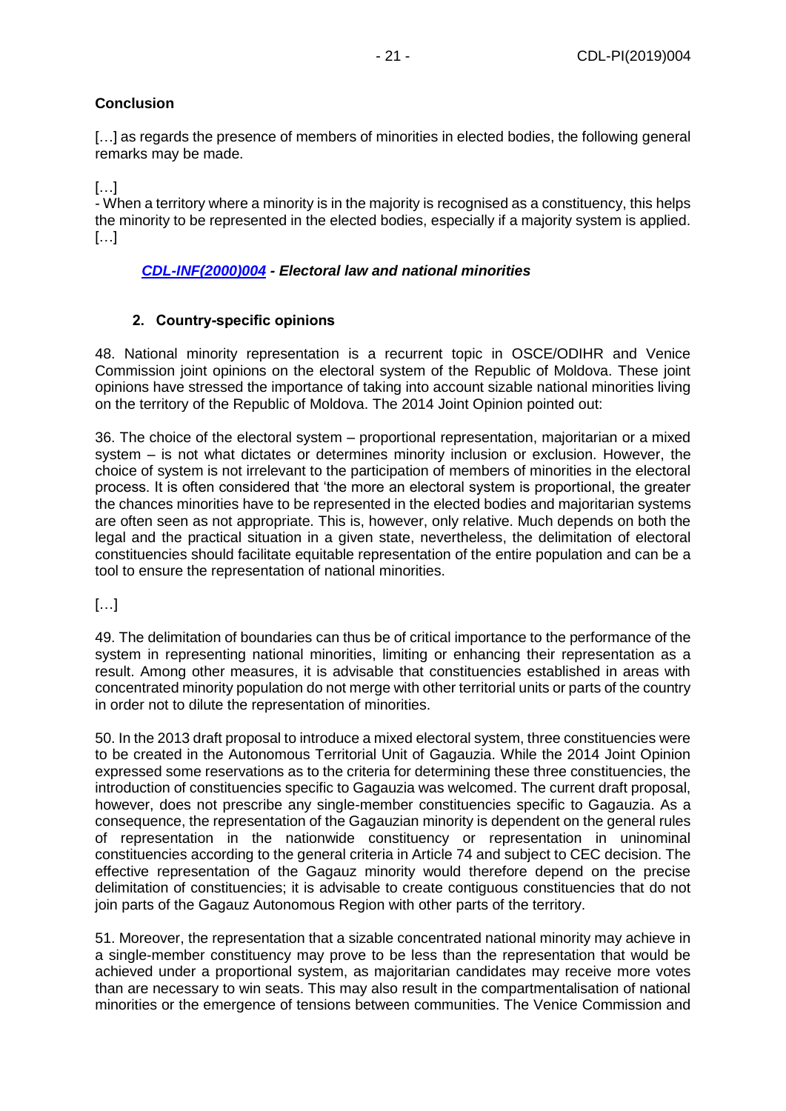## **Conclusion**

[...] as regards the presence of members of minorities in elected bodies, the following general remarks may be made.

[…]

- When a territory where a minority is in the majority is recognised as a constituency, this helps the minority to be represented in the elected bodies, especially if a majority system is applied. […]

## *[CDL-INF\(2000\)004](https://www.venice.coe.int/webforms/documents/?pdf=CDL-INF(2000)004-e) - Electoral law and national minorities*

## **2. Country-specific opinions**

<span id="page-20-0"></span>48. National minority representation is a recurrent topic in OSCE/ODIHR and Venice Commission joint opinions on the electoral system of the Republic of Moldova. These joint opinions have stressed the importance of taking into account sizable national minorities living on the territory of the Republic of Moldova. The 2014 Joint Opinion pointed out:

36. The choice of the electoral system – proportional representation, majoritarian or a mixed system – is not what dictates or determines minority inclusion or exclusion. However, the choice of system is not irrelevant to the participation of members of minorities in the electoral process. It is often considered that 'the more an electoral system is proportional, the greater the chances minorities have to be represented in the elected bodies and majoritarian systems are often seen as not appropriate. This is, however, only relative. Much depends on both the legal and the practical situation in a given state, nevertheless, the delimitation of electoral constituencies should facilitate equitable representation of the entire population and can be a tool to ensure the representation of national minorities.

[…]

49. The delimitation of boundaries can thus be of critical importance to the performance of the system in representing national minorities, limiting or enhancing their representation as a result. Among other measures, it is advisable that constituencies established in areas with concentrated minority population do not merge with other territorial units or parts of the country in order not to dilute the representation of minorities.

50. In the 2013 draft proposal to introduce a mixed electoral system, three constituencies were to be created in the Autonomous Territorial Unit of Gagauzia. While the 2014 Joint Opinion expressed some reservations as to the criteria for determining these three constituencies, the introduction of constituencies specific to Gagauzia was welcomed. The current draft proposal, however, does not prescribe any single-member constituencies specific to Gagauzia. As a consequence, the representation of the Gagauzian minority is dependent on the general rules of representation in the nationwide constituency or representation in uninominal constituencies according to the general criteria in Article 74 and subject to CEC decision. The effective representation of the Gagauz minority would therefore depend on the precise delimitation of constituencies; it is advisable to create contiguous constituencies that do not join parts of the Gagauz Autonomous Region with other parts of the territory.

51. Moreover, the representation that a sizable concentrated national minority may achieve in a single-member constituency may prove to be less than the representation that would be achieved under a proportional system, as majoritarian candidates may receive more votes than are necessary to win seats. This may also result in the compartmentalisation of national minorities or the emergence of tensions between communities. The Venice Commission and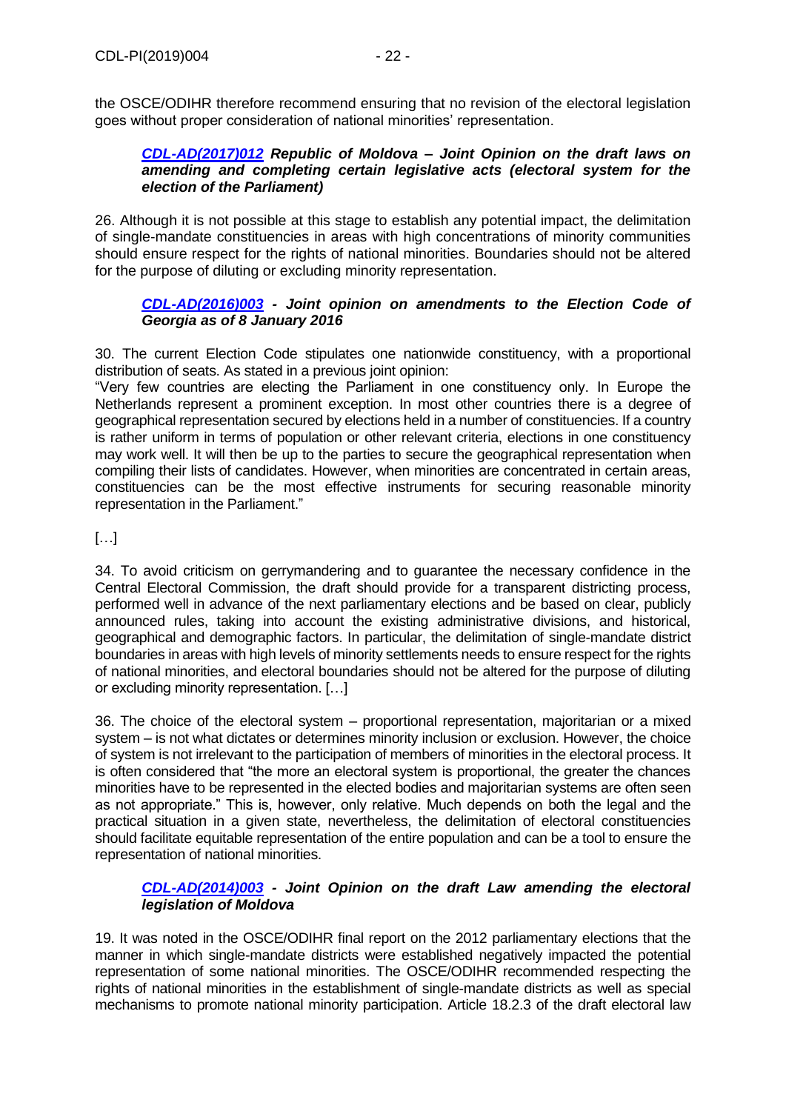the OSCE/ODIHR therefore recommend ensuring that no revision of the electoral legislation goes without proper consideration of national minorities' representation.

## *[CDL-AD\(2017\)012](https://www.venice.coe.int/webforms/documents/?pdf=CDL-AD(2017)012-e) Republic of Moldova – Joint Opinion on the draft laws on amending and completing certain legislative acts (electoral system for the election of the Parliament)*

26. Although it is not possible at this stage to establish any potential impact, the delimitation of single-mandate constituencies in areas with high concentrations of minority communities should ensure respect for the rights of national minorities. Boundaries should not be altered for the purpose of diluting or excluding minority representation.

## *[CDL-AD\(2016\)003](https://www.venice.coe.int/webforms/documents/?pdf=CDL-AD(2016)003-e) - Joint opinion on amendments to the Election Code of Georgia as of 8 January 2016*

30. The current Election Code stipulates one nationwide constituency, with a proportional distribution of seats. As stated in a previous joint opinion:

"Very few countries are electing the Parliament in one constituency only. In Europe the Netherlands represent a prominent exception. In most other countries there is a degree of geographical representation secured by elections held in a number of constituencies. If a country is rather uniform in terms of population or other relevant criteria, elections in one constituency may work well. It will then be up to the parties to secure the geographical representation when compiling their lists of candidates. However, when minorities are concentrated in certain areas, constituencies can be the most effective instruments for securing reasonable minority representation in the Parliament."

[…]

34. To avoid criticism on gerrymandering and to guarantee the necessary confidence in the Central Electoral Commission, the draft should provide for a transparent districting process, performed well in advance of the next parliamentary elections and be based on clear, publicly announced rules, taking into account the existing administrative divisions, and historical, geographical and demographic factors. In particular, the delimitation of single-mandate district boundaries in areas with high levels of minority settlements needs to ensure respect for the rights of national minorities, and electoral boundaries should not be altered for the purpose of diluting or excluding minority representation. […]

36. The choice of the electoral system – proportional representation, majoritarian or a mixed system – is not what dictates or determines minority inclusion or exclusion. However, the choice of system is not irrelevant to the participation of members of minorities in the electoral process. It is often considered that "the more an electoral system is proportional, the greater the chances minorities have to be represented in the elected bodies and majoritarian systems are often seen as not appropriate." This is, however, only relative. Much depends on both the legal and the practical situation in a given state, nevertheless, the delimitation of electoral constituencies should facilitate equitable representation of the entire population and can be a tool to ensure the representation of national minorities.

## *[CDL-AD\(2014\)003](https://www.venice.coe.int/webforms/documents/?pdf=CDL-AD(2014)003-e) - Joint Opinion on the draft Law amending the electoral legislation of Moldova*

19. It was noted in the OSCE/ODIHR final report on the 2012 parliamentary elections that the manner in which single-mandate districts were established negatively impacted the potential representation of some national minorities. The OSCE/ODIHR recommended respecting the rights of national minorities in the establishment of single-mandate districts as well as special mechanisms to promote national minority participation. Article 18.2.3 of the draft electoral law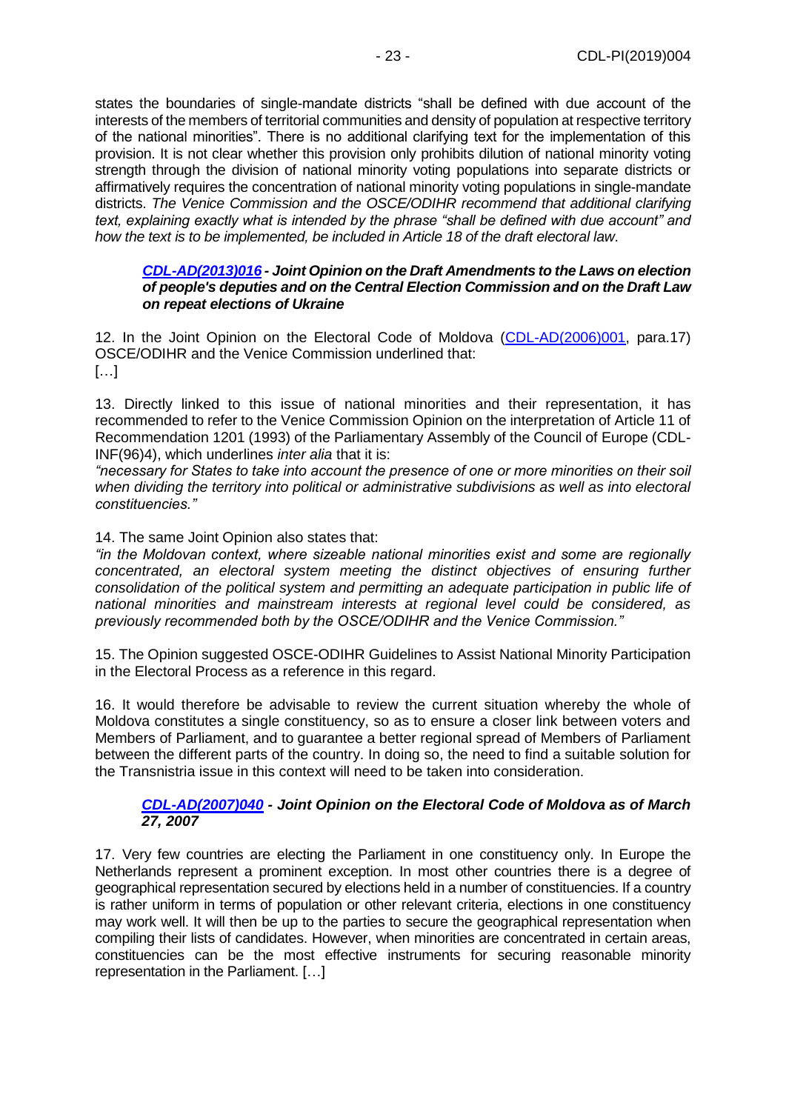states the boundaries of single-mandate districts "shall be defined with due account of the interests of the members of territorial communities and density of population at respective territory of the national minorities". There is no additional clarifying text for the implementation of this provision. It is not clear whether this provision only prohibits dilution of national minority voting strength through the division of national minority voting populations into separate districts or affirmatively requires the concentration of national minority voting populations in single-mandate districts. *The Venice Commission and the OSCE/ODIHR recommend that additional clarifying text, explaining exactly what is intended by the phrase "shall be defined with due account" and how the text is to be implemented, be included in Article 18 of the draft electoral law*.

#### *[CDL-AD\(2013\)016](https://www.venice.coe.int/webforms/documents/?pdf=CDL-AD(2013)016-e) - Joint Opinion on the Draft Amendments to the Laws on election of people's deputies and on the Central Election Commission and on the Draft Law on repeat elections of Ukraine*

12. In the Joint Opinion on the Electoral Code of Moldova [\(CDL-AD\(2006\)001,](https://www.venice.coe.int/webforms/documents/?pdf=CDL-AD(2006)001-e) para.17) OSCE/ODIHR and the Venice Commission underlined that:  $[...]$ 

13. Directly linked to this issue of national minorities and their representation, it has recommended to refer to the Venice Commission Opinion on the interpretation of Article 11 of Recommendation 1201 (1993) of the Parliamentary Assembly of the Council of Europe (CDL-INF(96)4), which underlines *inter alia* that it is:

*"necessary for States to take into account the presence of one or more minorities on their soil when dividing the territory into political or administrative subdivisions as well as into electoral constituencies."*

14. The same Joint Opinion also states that:

*"in the Moldovan context, where sizeable national minorities exist and some are regionally concentrated, an electoral system meeting the distinct objectives of ensuring further consolidation of the political system and permitting an adequate participation in public life of national minorities and mainstream interests at regional level could be considered, as previously recommended both by the OSCE/ODIHR and the Venice Commission."*

15. The Opinion suggested OSCE-ODIHR Guidelines to Assist National Minority Participation in the Electoral Process as a reference in this regard.

16. It would therefore be advisable to review the current situation whereby the whole of Moldova constitutes a single constituency, so as to ensure a closer link between voters and Members of Parliament, and to guarantee a better regional spread of Members of Parliament between the different parts of the country. In doing so, the need to find a suitable solution for the Transnistria issue in this context will need to be taken into consideration.

#### *[CDL-AD\(2007\)040](https://www.venice.coe.int/webforms/documents/?pdf=CDL-AD(2007)040-e) - Joint Opinion on the Electoral Code of Moldova as of March 27, 2007*

17. Very few countries are electing the Parliament in one constituency only. In Europe the Netherlands represent a prominent exception. In most other countries there is a degree of geographical representation secured by elections held in a number of constituencies. If a country is rather uniform in terms of population or other relevant criteria, elections in one constituency may work well. It will then be up to the parties to secure the geographical representation when compiling their lists of candidates. However, when minorities are concentrated in certain areas, constituencies can be the most effective instruments for securing reasonable minority representation in the Parliament. […]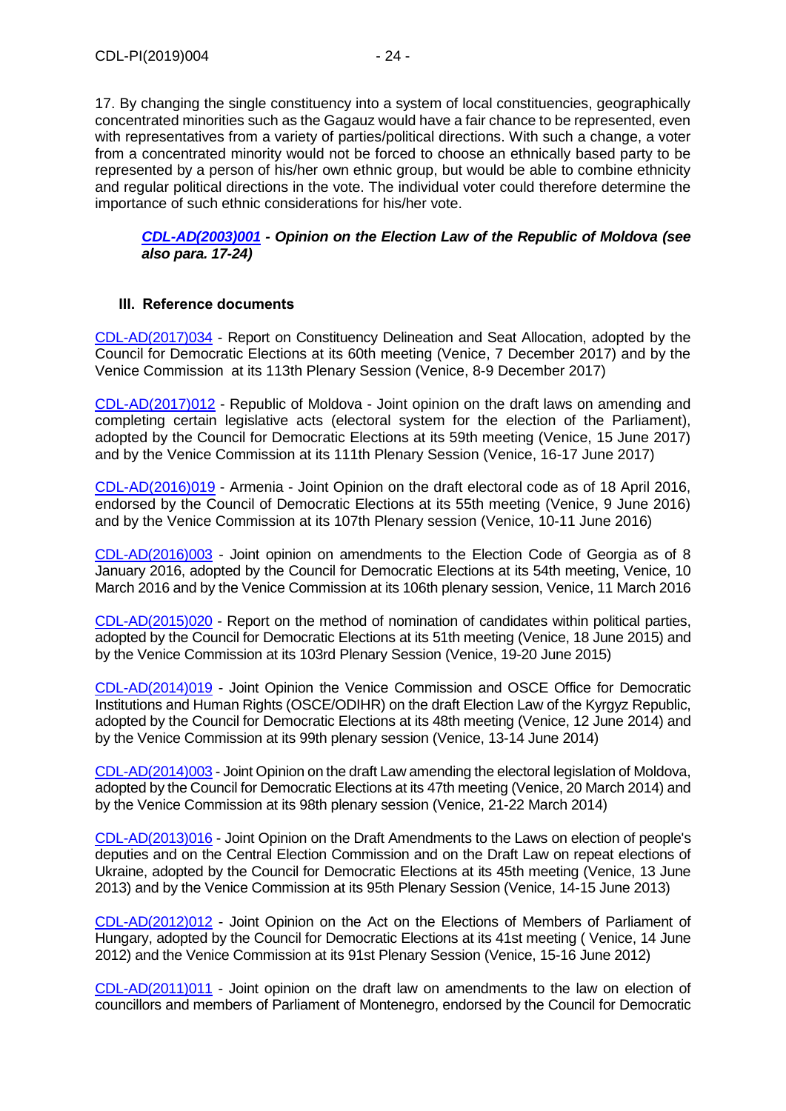17. By changing the single constituency into a system of local constituencies, geographically concentrated minorities such as the Gagauz would have a fair chance to be represented, even with representatives from a variety of parties/political directions. With such a change, a voter from a concentrated minority would not be forced to choose an ethnically based party to be represented by a person of his/her own ethnic group, but would be able to combine ethnicity and regular political directions in the vote. The individual voter could therefore determine the importance of such ethnic considerations for his/her vote.

#### *[CDL-AD\(2003\)001](https://www.venice.coe.int/webforms/documents/?pdf=CDL-AD(2003)001-e) - Opinion on the Election Law of the Republic of Moldova (see also para. 17-24)*

#### <span id="page-23-0"></span>**III. Reference documents**

[CDL-AD\(2017\)034](https://www.venice.coe.int/webforms/documents/?pdf=CDL-AD(2017)034-e) - Report on Constituency Delineation and Seat Allocation, adopted by the Council for Democratic Elections at its 60th meeting (Venice, 7 December 2017) and by the Venice Commission at its 113th Plenary Session (Venice, 8-9 December 2017)

[CDL-AD\(2017\)012](https://www.venice.coe.int/webforms/documents/?pdf=CDL-AD(2017)012-e) - Republic of Moldova - Joint opinion on the draft laws on amending and completing certain legislative acts (electoral system for the election of the Parliament), adopted by the Council for Democratic Elections at its 59th meeting (Venice, 15 June 2017) and by the Venice Commission at its 111th Plenary Session (Venice, 16-17 June 2017)

[CDL-AD\(2016\)019](https://www.venice.coe.int/webforms/documents/?pdf=CDL-AD(2016)019-e) - Armenia - Joint Opinion on the draft electoral code as of 18 April 2016, endorsed by the Council of Democratic Elections at its 55th meeting (Venice, 9 June 2016) and by the Venice Commission at its 107th Plenary session (Venice, 10-11 June 2016)

[CDL-AD\(2016\)003](https://www.venice.coe.int/webforms/documents/?pdf=CDL-AD(2016)003-e) - Joint opinion on amendments to the Election Code of Georgia as of 8 January 2016, adopted by the Council for Democratic Elections at its 54th meeting, Venice, 10 March 2016 and by the Venice Commission at its 106th plenary session, Venice, 11 March 2016

[CDL-AD\(2015\)020](https://www.venice.coe.int/webforms/documents/?pdf=CDL-AD(2015)020-e) - Report on the method of nomination of candidates within political parties, adopted by the Council for Democratic Elections at its 51th meeting (Venice, 18 June 2015) and by the Venice Commission at its 103rd Plenary Session (Venice, 19-20 June 2015)

[CDL-AD\(2014\)019](https://www.venice.coe.int/webforms/documents/?pdf=CDL-AD(2014)019-e) - Joint Opinion the Venice Commission and OSCE Office for Democratic Institutions and Human Rights (OSCE/ODIHR) on the draft Election Law of the Kyrgyz Republic, adopted by the Council for Democratic Elections at its 48th meeting (Venice, 12 June 2014) and by the Venice Commission at its 99th plenary session (Venice, 13-14 June 2014)

[CDL-AD\(2014\)003](https://www.venice.coe.int/webforms/documents/?pdf=CDL-AD(2014)003-e) - Joint Opinion on the draft Law amending the electoral legislation of Moldova, adopted by the Council for Democratic Elections at its 47th meeting (Venice, 20 March 2014) and by the Venice Commission at its 98th plenary session (Venice, 21-22 March 2014)

[CDL-AD\(2013\)016](https://www.venice.coe.int/webforms/documents/?pdf=CDL-AD(2013)016-e) - Joint Opinion on the Draft Amendments to the Laws on election of people's deputies and on the Central Election Commission and on the Draft Law on repeat elections of Ukraine, adopted by the Council for Democratic Elections at its 45th meeting (Venice, 13 June 2013) and by the Venice Commission at its 95th Plenary Session (Venice, 14-15 June 2013)

[CDL-AD\(2012\)012](https://www.venice.coe.int/webforms/documents/?pdf=CDL-AD(2012)012-e) - Joint Opinion on the Act on the Elections of Members of Parliament of Hungary, adopted by the Council for Democratic Elections at its 41st meeting ( Venice, 14 June 2012) and the Venice Commission at its 91st Plenary Session (Venice, 15-16 June 2012)

[CDL-AD\(2011\)011](https://www.venice.coe.int/webforms/documents/?pdf=CDL-AD(2011)011-e) - Joint opinion on the draft law on amendments to the law on election of councillors and members of Parliament of Montenegro, endorsed by the Council for Democratic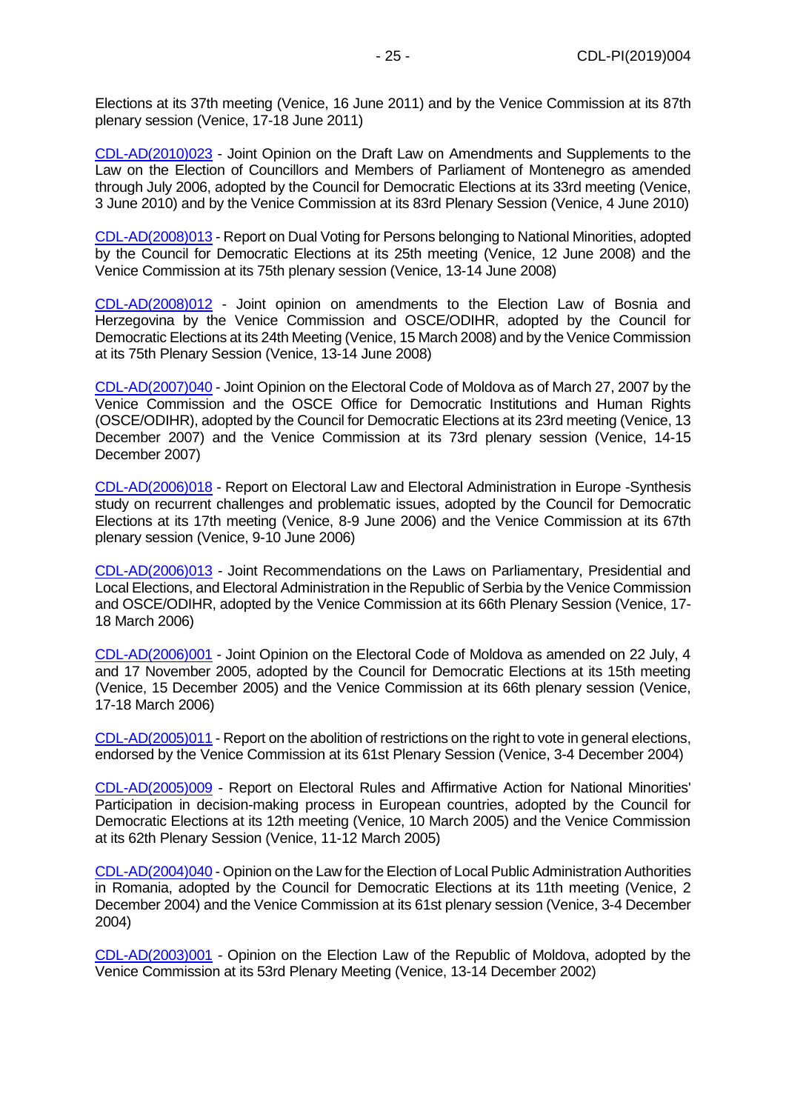Elections at its 37th meeting (Venice, 16 June 2011) and by the Venice Commission at its 87th plenary session (Venice, 17-18 June 2011)

[CDL-AD\(2010\)023](https://www.venice.coe.int/webforms/documents/?pdf=CDL-AD(2010)023-e) - Joint Opinion on the Draft Law on Amendments and Supplements to the Law on the Election of Councillors and Members of Parliament of Montenegro as amended through July 2006, adopted by the Council for Democratic Elections at its 33rd meeting (Venice, 3 June 2010) and by the Venice Commission at its 83rd Plenary Session (Venice, 4 June 2010)

[CDL-AD\(2008\)013](https://www.venice.coe.int/webforms/documents/?pdf=CDL-AD(2008)013-e) - Report on Dual Voting for Persons belonging to National Minorities, adopted by the Council for Democratic Elections at its 25th meeting (Venice, 12 June 2008) and the Venice Commission at its 75th plenary session (Venice, 13-14 June 2008)

[CDL-AD\(2008\)012](https://www.venice.coe.int/webforms/documents/?pdf=CDL-AD(2008)012-e) - Joint opinion on amendments to the Election Law of Bosnia and Herzegovina by the Venice Commission and OSCE/ODIHR, adopted by the Council for Democratic Elections at its 24th Meeting (Venice, 15 March 2008) and by the Venice Commission at its 75th Plenary Session (Venice, 13-14 June 2008)

[CDL-AD\(2007\)040](https://www.venice.coe.int/webforms/documents/?pdf=CDL-AD(2007)040-e) - Joint Opinion on the Electoral Code of Moldova as of March 27, 2007 by the Venice Commission and the OSCE Office for Democratic Institutions and Human Rights (OSCE/ODIHR), adopted by the Council for Democratic Elections at its 23rd meeting (Venice, 13 December 2007) and the Venice Commission at its 73rd plenary session (Venice, 14-15 December 2007)

[CDL-AD\(2006\)018](https://www.venice.coe.int/webforms/documents/?pdf=CDL-AD(2006)018-e) - Report on Electoral Law and Electoral Administration in Europe -Synthesis study on recurrent challenges and problematic issues, adopted by the Council for Democratic Elections at its 17th meeting (Venice, 8-9 June 2006) and the Venice Commission at its 67th plenary session (Venice, 9-10 June 2006)

[CDL-AD\(2006\)013](https://www.venice.coe.int/webforms/documents/?pdf=CDL-AD(2006)013-e) - Joint Recommendations on the Laws on Parliamentary, Presidential and Local Elections, and Electoral Administration in the Republic of Serbia by the Venice Commission and OSCE/ODIHR, adopted by the Venice Commission at its 66th Plenary Session (Venice, 17- 18 March 2006)

[CDL-AD\(2006\)001](https://www.venice.coe.int/webforms/documents/?pdf=CDL-AD(2006)001-e) - Joint Opinion on the Electoral Code of Moldova as amended on 22 July, 4 and 17 November 2005, adopted by the Council for Democratic Elections at its 15th meeting (Venice, 15 December 2005) and the Venice Commission at its 66th plenary session (Venice, 17-18 March 2006)

[CDL-AD\(2005\)011](https://www.venice.coe.int/webforms/documents/?pdf=CDL-AD(2005)011-e) - Report on the abolition of restrictions on the right to vote in general elections, endorsed by the Venice Commission at its 61st Plenary Session (Venice, 3-4 December 2004)

[CDL-AD\(2005\)009](https://www.venice.coe.int/webforms/documents/?pdf=CDL-AD(2005)009-e) - Report on Electoral Rules and Affirmative Action for National Minorities' Participation in decision-making process in European countries, adopted by the Council for Democratic Elections at its 12th meeting (Venice, 10 March 2005) and the Venice Commission at its 62th Plenary Session (Venice, 11-12 March 2005)

[CDL-AD\(2004\)040](https://www.venice.coe.int/webforms/documents/?pdf=CDL-AD(2004)040-e) - Opinion on the Law for the Election of Local Public Administration Authorities in Romania, adopted by the Council for Democratic Elections at its 11th meeting (Venice, 2 December 2004) and the Venice Commission at its 61st plenary session (Venice, 3-4 December 2004)

[CDL-AD\(2003\)001](https://www.venice.coe.int/webforms/documents/?pdf=CDL-AD(2003)001-e) *-* Opinion on the Election Law of the Republic of Moldova, adopted by the Venice Commission at its 53rd Plenary Meeting (Venice, 13-14 December 2002)